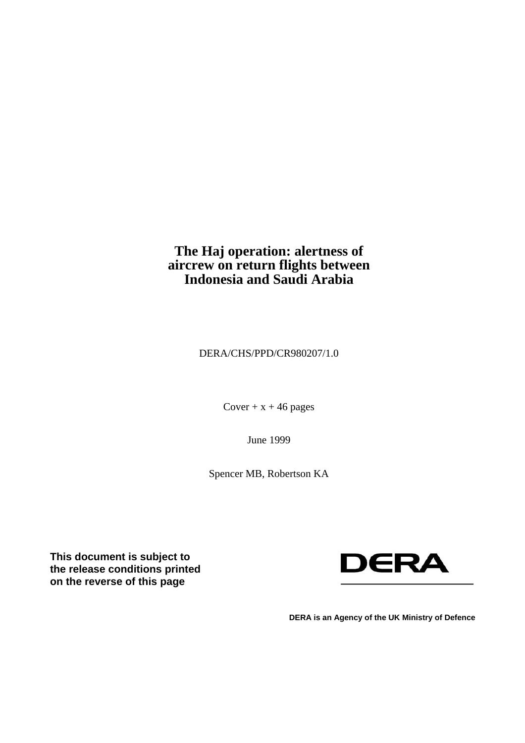## **The Haj operation: alertness of aircrew on return flights between Indonesia and Saudi Arabia**

DERA/CHS/PPD/CR980207/1.0

Cover  $+x + 46$  pages

June 1999

Spencer MB, Robertson KA

**This document is subject to the release conditions printed on the reverse of this page** 



**DERA is an Agency of the UK Ministry of Defence**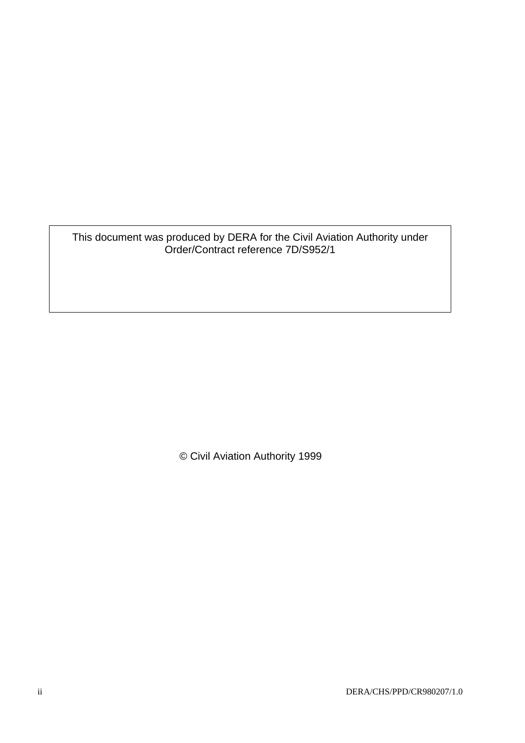### This document was produced by DERA for the Civil Aviation Authority under Order/Contract reference 7D/S952/1

© Civil Aviation Authority 1999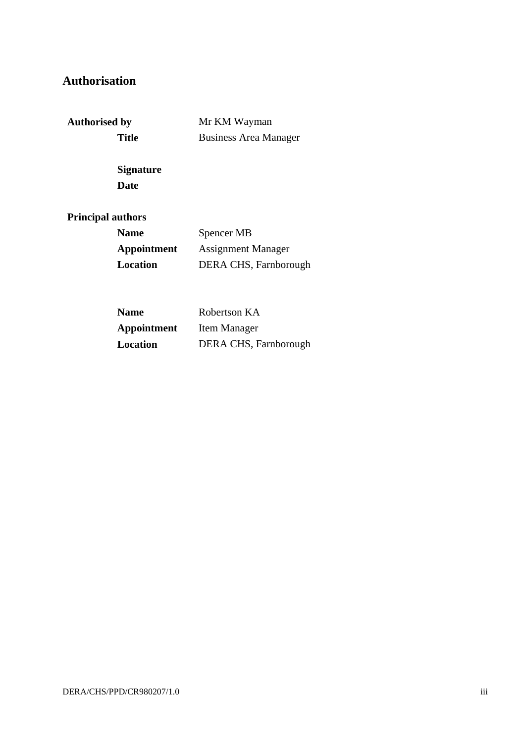# **Authorisation**

**Authorised by** Mr KM Wayman Title **Business Area Manager** 

> **Signature Date**

### **Principal authors**

| <b>Name</b> | Spencer MB                |
|-------------|---------------------------|
| Appointment | <b>Assignment Manager</b> |
| Location    | DERA CHS, Farnborough     |

| <b>Name</b> | Robertson KA          |
|-------------|-----------------------|
| Appointment | Item Manager          |
| Location    | DERA CHS, Farnborough |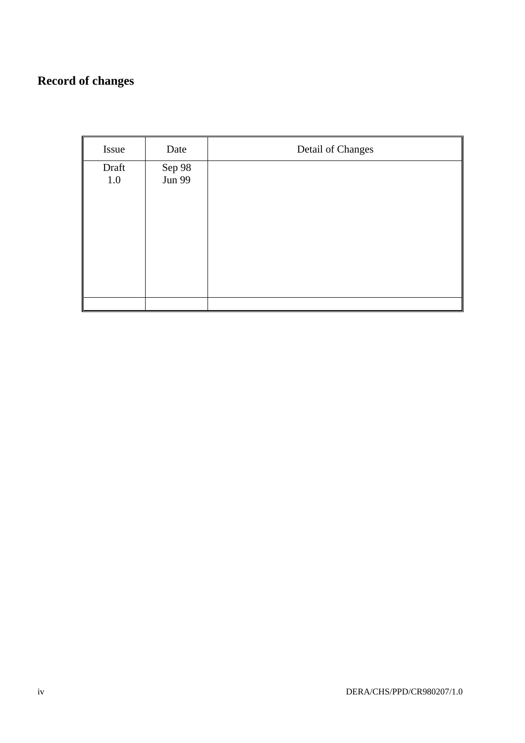# **Record of changes**

| Issue            | Date             | Detail of Changes |
|------------------|------------------|-------------------|
| Draft<br>$1.0\,$ | Sep 98<br>Jun 99 |                   |
|                  |                  |                   |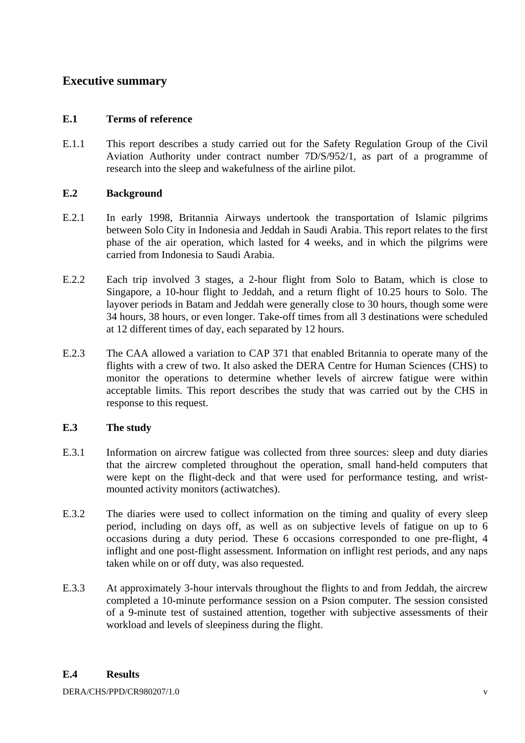### **Executive summary**

### **E.1 Terms of reference**

E.1.1 This report describes a study carried out for the Safety Regulation Group of the Civil Aviation Authority under contract number 7D/S/952/1, as part of a programme of research into the sleep and wakefulness of the airline pilot.

#### **E.2 Background**

- E.2.1 In early 1998, Britannia Airways undertook the transportation of Islamic pilgrims between Solo City in Indonesia and Jeddah in Saudi Arabia. This report relates to the first phase of the air operation, which lasted for 4 weeks, and in which the pilgrims were carried from Indonesia to Saudi Arabia.
- E.2.2 Each trip involved 3 stages, a 2-hour flight from Solo to Batam, which is close to Singapore, a 10-hour flight to Jeddah, and a return flight of 10.25 hours to Solo. The layover periods in Batam and Jeddah were generally close to 30 hours, though some were 34 hours, 38 hours, or even longer. Take-off times from all 3 destinations were scheduled at 12 different times of day, each separated by 12 hours.
- E.2.3 The CAA allowed a variation to CAP 371 that enabled Britannia to operate many of the flights with a crew of two. It also asked the DERA Centre for Human Sciences (CHS) to monitor the operations to determine whether levels of aircrew fatigue were within acceptable limits. This report describes the study that was carried out by the CHS in response to this request.

### **E.3 The study**

- E.3.1 Information on aircrew fatigue was collected from three sources: sleep and duty diaries that the aircrew completed throughout the operation, small hand-held computers that were kept on the flight-deck and that were used for performance testing, and wristmounted activity monitors (actiwatches).
- E.3.2 The diaries were used to collect information on the timing and quality of every sleep period, including on days off, as well as on subjective levels of fatigue on up to 6 occasions during a duty period. These 6 occasions corresponded to one pre-flight, 4 inflight and one post-flight assessment. Information on inflight rest periods, and any naps taken while on or off duty, was also requested.
- E.3.3 At approximately 3-hour intervals throughout the flights to and from Jeddah, the aircrew completed a 10-minute performance session on a Psion computer. The session consisted of a 9-minute test of sustained attention, together with subjective assessments of their workload and levels of sleepiness during the flight.

#### **E.4 Results**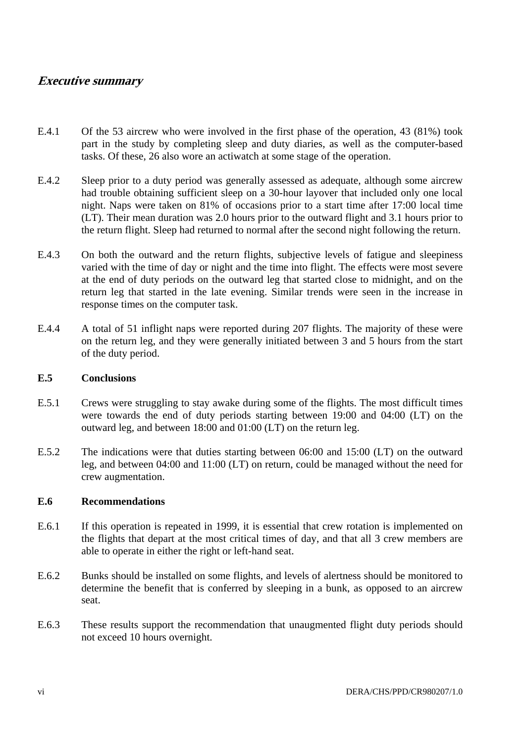### **Executive summary**

- E.4.1 Of the 53 aircrew who were involved in the first phase of the operation, 43 (81%) took part in the study by completing sleep and duty diaries, as well as the computer-based tasks. Of these, 26 also wore an actiwatch at some stage of the operation.
- E.4.2 Sleep prior to a duty period was generally assessed as adequate, although some aircrew had trouble obtaining sufficient sleep on a 30-hour layover that included only one local night. Naps were taken on 81% of occasions prior to a start time after 17:00 local time (LT). Their mean duration was 2.0 hours prior to the outward flight and 3.1 hours prior to the return flight. Sleep had returned to normal after the second night following the return.
- E.4.3 On both the outward and the return flights, subjective levels of fatigue and sleepiness varied with the time of day or night and the time into flight. The effects were most severe at the end of duty periods on the outward leg that started close to midnight, and on the return leg that started in the late evening. Similar trends were seen in the increase in response times on the computer task.
- E.4.4 A total of 51 inflight naps were reported during 207 flights. The majority of these were on the return leg, and they were generally initiated between 3 and 5 hours from the start of the duty period.

#### **E.5 Conclusions**

- E.5.1 Crews were struggling to stay awake during some of the flights. The most difficult times were towards the end of duty periods starting between 19:00 and 04:00 (LT) on the outward leg, and between 18:00 and 01:00 (LT) on the return leg.
- E.5.2 The indications were that duties starting between 06:00 and 15:00 (LT) on the outward leg, and between 04:00 and 11:00 (LT) on return, could be managed without the need for crew augmentation.

#### **E.6 Recommendations**

- E.6.1 If this operation is repeated in 1999, it is essential that crew rotation is implemented on the flights that depart at the most critical times of day, and that all 3 crew members are able to operate in either the right or left-hand seat.
- E.6.2 Bunks should be installed on some flights, and levels of alertness should be monitored to determine the benefit that is conferred by sleeping in a bunk, as opposed to an aircrew seat.
- E.6.3 These results support the recommendation that unaugmented flight duty periods should not exceed 10 hours overnight.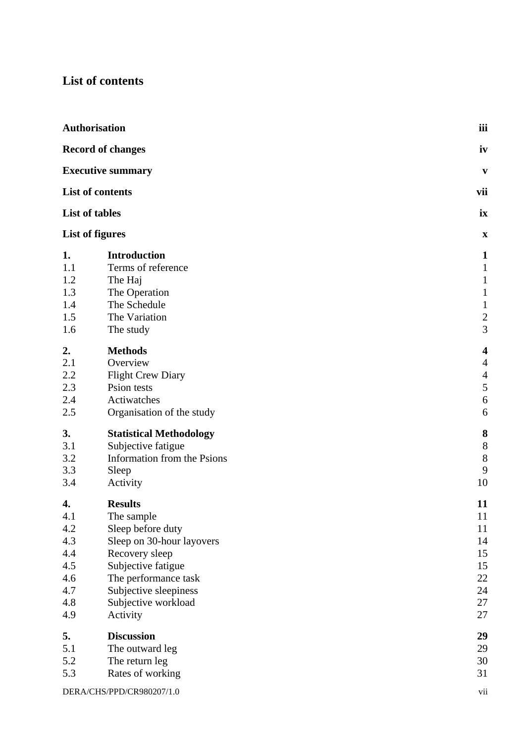# **List of contents**

|                                                                   | Authorisation                                                                                                                                                                                              | iii                                                                                           |
|-------------------------------------------------------------------|------------------------------------------------------------------------------------------------------------------------------------------------------------------------------------------------------------|-----------------------------------------------------------------------------------------------|
|                                                                   | <b>Record of changes</b>                                                                                                                                                                                   | iv                                                                                            |
|                                                                   | <b>Executive summary</b>                                                                                                                                                                                   | V                                                                                             |
|                                                                   | List of contents                                                                                                                                                                                           | vii                                                                                           |
|                                                                   | List of tables                                                                                                                                                                                             | ix                                                                                            |
|                                                                   | <b>List of figures</b>                                                                                                                                                                                     | $\mathbf X$                                                                                   |
| 1.<br>1.1<br>1.2<br>1.3<br>1.4<br>1.5<br>1.6                      | <b>Introduction</b><br>Terms of reference<br>The Haj<br>The Operation<br>The Schedule<br>The Variation<br>The study                                                                                        | $\mathbf{1}$<br>$\mathbf{1}$<br>$\mathbf{1}$<br>$\mathbf{1}$<br>$\mathbf{1}$<br>$\frac{2}{3}$ |
| 2.<br>2.1<br>2.2<br>2.3<br>2.4<br>2.5                             | <b>Methods</b><br>Overview<br><b>Flight Crew Diary</b><br>Psion tests<br>Actiwatches<br>Organisation of the study                                                                                          | 4<br>$\overline{4}$<br>$\overline{4}$<br>$\sqrt{5}$<br>$\sqrt{6}$<br>6                        |
| 3.<br>3.1<br>3.2<br>3.3<br>3.4                                    | <b>Statistical Methodology</b><br>Subjective fatigue<br>Information from the Psions<br>Sleep<br>Activity                                                                                                   | 8<br>$8\,$<br>$8\,$<br>9<br>10                                                                |
| 4.<br>4.1<br>4.2<br>4.3<br>4.4<br>4.5<br>4.6<br>4.7<br>4.8<br>4.9 | <b>Results</b><br>The sample<br>Sleep before duty<br>Sleep on 30-hour layovers<br>Recovery sleep<br>Subjective fatigue<br>The performance task<br>Subjective sleepiness<br>Subjective workload<br>Activity | 11<br>11<br>11<br>14<br>15<br>15<br>22<br>24<br>27<br>27                                      |
| 5.<br>5.1<br>5.2<br>5.3                                           | <b>Discussion</b><br>The outward leg<br>The return leg<br>Rates of working                                                                                                                                 | 29<br>29<br>30<br>31                                                                          |
|                                                                   | DERA/CHS/PPD/CR980207/1.0                                                                                                                                                                                  | vii                                                                                           |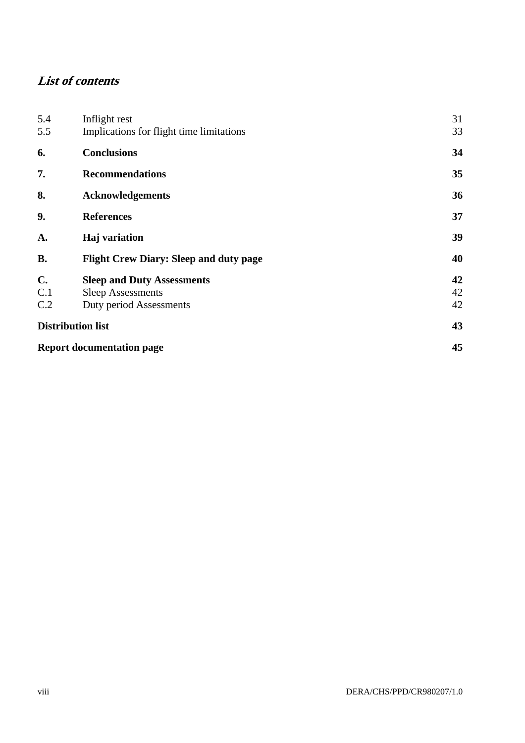# **List of contents**

| 5.4                      | Inflight rest                                 | 31 |
|--------------------------|-----------------------------------------------|----|
| 5.5                      | Implications for flight time limitations      | 33 |
| 6.                       | <b>Conclusions</b>                            | 34 |
| 7.                       | <b>Recommendations</b>                        | 35 |
| 8.                       | <b>Acknowledgements</b>                       | 36 |
| 9.                       | <b>References</b>                             | 37 |
| A.                       | Haj variation                                 | 39 |
| <b>B.</b>                | <b>Flight Crew Diary: Sleep and duty page</b> | 40 |
| $C_{\bullet}$            | <b>Sleep and Duty Assessments</b>             | 42 |
| C.1                      | <b>Sleep Assessments</b>                      | 42 |
| C.2                      | Duty period Assessments                       | 42 |
| <b>Distribution list</b> |                                               | 43 |
|                          | <b>Report documentation page</b>              | 45 |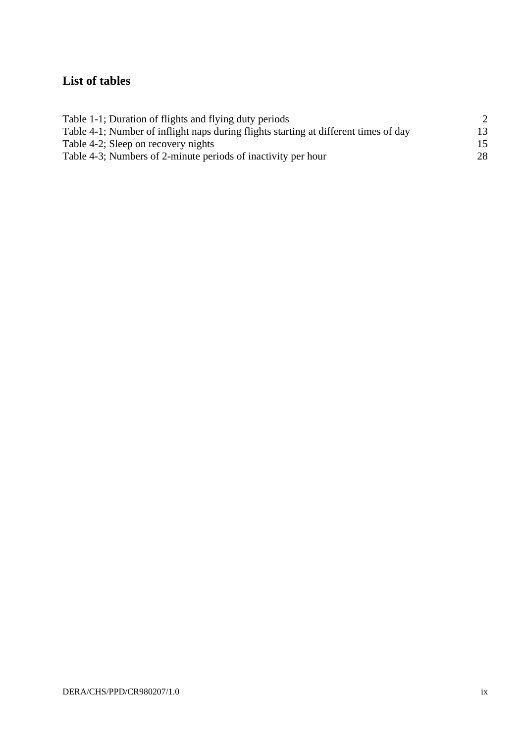# **List of tables**

| Table 1-1; Duration of flights and flying duty periods                               |     |
|--------------------------------------------------------------------------------------|-----|
| Table 4-1; Number of inflight naps during flights starting at different times of day | 13  |
| Table 4-2; Sleep on recovery nights                                                  | 15. |
| Table 4-3; Numbers of 2-minute periods of inactivity per hour                        | 28  |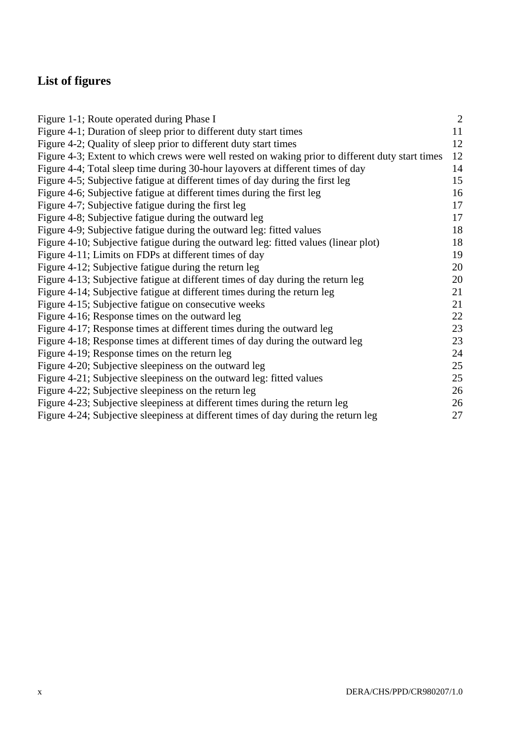# **List of figures**

| Figure 1-1; Route operated during Phase I                                                        | $\overline{2}$ |
|--------------------------------------------------------------------------------------------------|----------------|
| Figure 4-1; Duration of sleep prior to different duty start times                                | 11             |
| Figure 4-2; Quality of sleep prior to different duty start times                                 | 12             |
| Figure 4-3; Extent to which crews were well rested on waking prior to different duty start times | 12             |
| Figure 4-4; Total sleep time during 30-hour layovers at different times of day                   | 14             |
| Figure 4-5; Subjective fatigue at different times of day during the first leg                    | 15             |
| Figure 4-6; Subjective fatigue at different times during the first leg                           | 16             |
| Figure 4-7; Subjective fatigue during the first leg                                              | 17             |
| Figure 4-8; Subjective fatigue during the outward leg                                            | 17             |
| Figure 4-9; Subjective fatigue during the outward leg: fitted values                             | 18             |
| Figure 4-10; Subjective fatigue during the outward leg: fitted values (linear plot)              | 18             |
| Figure 4-11; Limits on FDPs at different times of day                                            | 19             |
| Figure 4-12; Subjective fatigue during the return leg                                            | 20             |
| Figure 4-13; Subjective fatigue at different times of day during the return leg                  | 20             |
| Figure 4-14; Subjective fatigue at different times during the return leg                         | 21             |
| Figure 4-15; Subjective fatigue on consecutive weeks                                             | 21             |
| Figure 4-16; Response times on the outward leg                                                   | 22             |
| Figure 4-17; Response times at different times during the outward leg                            | 23             |
| Figure 4-18; Response times at different times of day during the outward leg                     | 23             |
| Figure 4-19; Response times on the return leg                                                    | 24             |
| Figure 4-20; Subjective sleepiness on the outward leg                                            | 25             |
| Figure 4-21; Subjective sleepiness on the outward leg: fitted values                             | 25             |
| Figure 4-22; Subjective sleepiness on the return leg                                             | 26             |
| Figure 4-23; Subjective sleepiness at different times during the return leg                      | 26             |
| Figure 4-24; Subjective sleepiness at different times of day during the return leg               | 27             |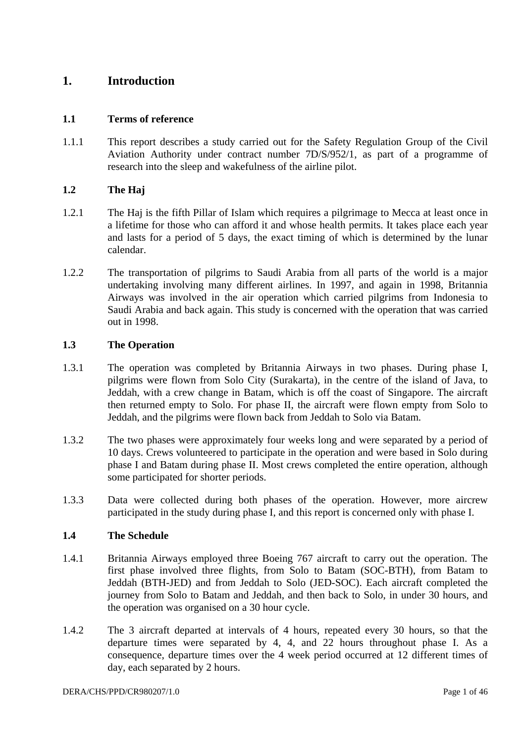### **1. Introduction**

#### **1.1 Terms of reference**

1.1.1 This report describes a study carried out for the Safety Regulation Group of the Civil Aviation Authority under contract number 7D/S/952/1, as part of a programme of research into the sleep and wakefulness of the airline pilot.

#### **1.2 The Haj**

- 1.2.1 The Haj is the fifth Pillar of Islam which requires a pilgrimage to Mecca at least once in a lifetime for those who can afford it and whose health permits. It takes place each year and lasts for a period of 5 days, the exact timing of which is determined by the lunar calendar.
- 1.2.2 The transportation of pilgrims to Saudi Arabia from all parts of the world is a major undertaking involving many different airlines. In 1997, and again in 1998, Britannia Airways was involved in the air operation which carried pilgrims from Indonesia to Saudi Arabia and back again. This study is concerned with the operation that was carried out in 1998.

#### **1.3 The Operation**

- 1.3.1 The operation was completed by Britannia Airways in two phases. During phase I, pilgrims were flown from Solo City (Surakarta), in the centre of the island of Java, to Jeddah, with a crew change in Batam, which is off the coast of Singapore. The aircraft then returned empty to Solo. For phase II, the aircraft were flown empty from Solo to Jeddah, and the pilgrims were flown back from Jeddah to Solo via Batam.
- 1.3.2 The two phases were approximately four weeks long and were separated by a period of 10 days. Crews volunteered to participate in the operation and were based in Solo during phase I and Batam during phase II. Most crews completed the entire operation, although some participated for shorter periods.
- 1.3.3 Data were collected during both phases of the operation. However, more aircrew participated in the study during phase I, and this report is concerned only with phase I.

#### **1.4 The Schedule**

- 1.4.1 Britannia Airways employed three Boeing 767 aircraft to carry out the operation. The first phase involved three flights, from Solo to Batam (SOC-BTH), from Batam to Jeddah (BTH-JED) and from Jeddah to Solo (JED-SOC). Each aircraft completed the journey from Solo to Batam and Jeddah, and then back to Solo, in under 30 hours, and the operation was organised on a 30 hour cycle.
- 1.4.2 The 3 aircraft departed at intervals of 4 hours, repeated every 30 hours, so that the departure times were separated by 4, 4, and 22 hours throughout phase I. As a consequence, departure times over the 4 week period occurred at 12 different times of day, each separated by 2 hours.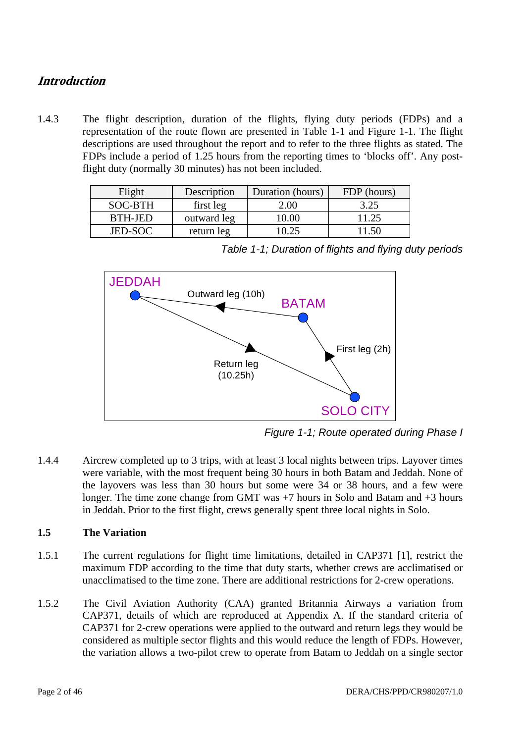### **Introduction**

1.4.3 The flight description, duration of the flights, flying duty periods (FDPs) and a representation of the route flown are presented in Table 1-1 and Figure 1-1. The flight descriptions are used throughout the report and to refer to the three flights as stated. The FDPs include a period of 1.25 hours from the reporting times to 'blocks off'. Any postflight duty (normally 30 minutes) has not been included.

| Flight         | Description | Duration (hours) | FDP (hours) |
|----------------|-------------|------------------|-------------|
| SOC-BTH        | first leg   | 2.00             | 3.25        |
| BTH-JED        | outward leg | 10.00            | 11.25       |
| <b>JED-SOC</b> | return leg  | 10 25            | -50         |



*Table 1-1; Duration of flights and flying duty periods* 

*Figure 1-1; Route operated during Phase I* 

1.4.4 Aircrew completed up to 3 trips, with at least 3 local nights between trips. Layover times were variable, with the most frequent being 30 hours in both Batam and Jeddah. None of the layovers was less than 30 hours but some were 34 or 38 hours, and a few were longer. The time zone change from GMT was +7 hours in Solo and Batam and +3 hours in Jeddah. Prior to the first flight, crews generally spent three local nights in Solo.

### **1.5 The Variation**

- 1.5.1 The current regulations for flight time limitations, detailed in CAP371 [1], restrict the maximum FDP according to the time that duty starts, whether crews are acclimatised or unacclimatised to the time zone. There are additional restrictions for 2-crew operations.
- 1.5.2 The Civil Aviation Authority (CAA) granted Britannia Airways a variation from CAP371, details of which are reproduced at Appendix A. If the standard criteria of CAP371 for 2-crew operations were applied to the outward and return legs they would be considered as multiple sector flights and this would reduce the length of FDPs. However, the variation allows a two-pilot crew to operate from Batam to Jeddah on a single sector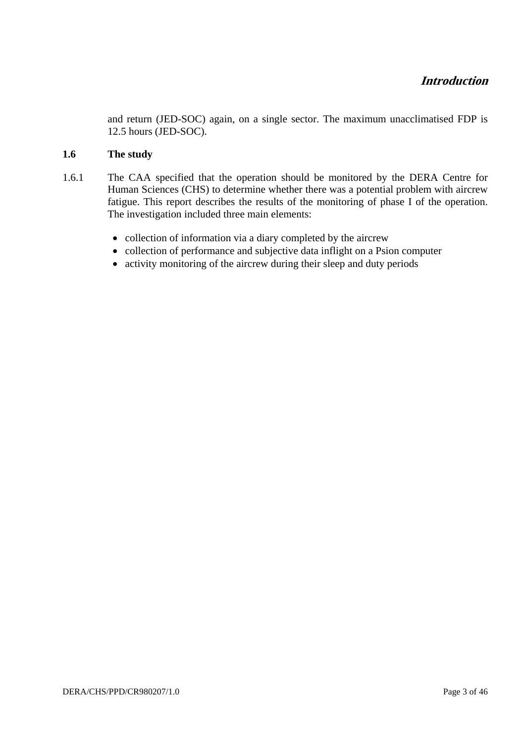and return (JED-SOC) again, on a single sector. The maximum unacclimatised FDP is 12.5 hours (JED-SOC).

### **1.6 The study**

- 1.6.1 The CAA specified that the operation should be monitored by the DERA Centre for Human Sciences (CHS) to determine whether there was a potential problem with aircrew fatigue. This report describes the results of the monitoring of phase I of the operation. The investigation included three main elements:
	- collection of information via a diary completed by the aircrew
	- collection of performance and subjective data inflight on a Psion computer
	- activity monitoring of the aircrew during their sleep and duty periods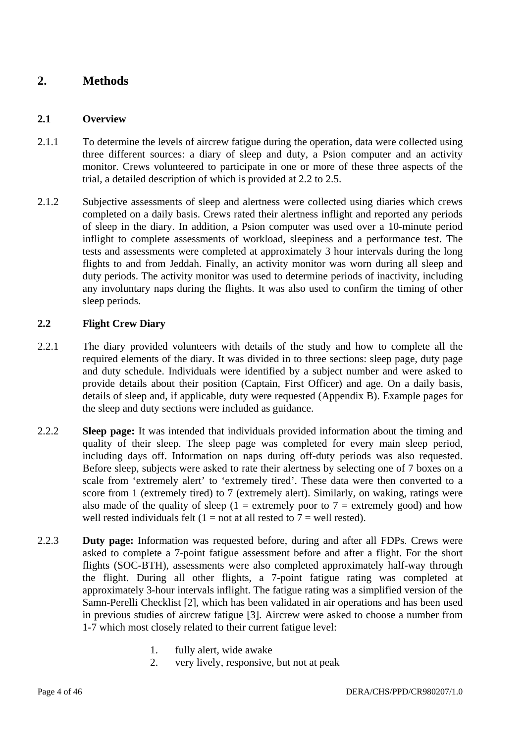### **2. Methods**

#### **2.1 Overview**

- 2.1.1 To determine the levels of aircrew fatigue during the operation, data were collected using three different sources: a diary of sleep and duty, a Psion computer and an activity monitor. Crews volunteered to participate in one or more of these three aspects of the trial, a detailed description of which is provided at 2.2 to 2.5.
- 2.1.2 Subjective assessments of sleep and alertness were collected using diaries which crews completed on a daily basis. Crews rated their alertness inflight and reported any periods of sleep in the diary. In addition, a Psion computer was used over a 10-minute period inflight to complete assessments of workload, sleepiness and a performance test. The tests and assessments were completed at approximately 3 hour intervals during the long flights to and from Jeddah. Finally, an activity monitor was worn during all sleep and duty periods. The activity monitor was used to determine periods of inactivity, including any involuntary naps during the flights. It was also used to confirm the timing of other sleep periods.

### **2.2 Flight Crew Diary**

- 2.2.1 The diary provided volunteers with details of the study and how to complete all the required elements of the diary. It was divided in to three sections: sleep page, duty page and duty schedule. Individuals were identified by a subject number and were asked to provide details about their position (Captain, First Officer) and age. On a daily basis, details of sleep and, if applicable, duty were requested (Appendix B). Example pages for the sleep and duty sections were included as guidance.
- 2.2.2 **Sleep page:** It was intended that individuals provided information about the timing and quality of their sleep. The sleep page was completed for every main sleep period, including days off. Information on naps during off-duty periods was also requested. Before sleep, subjects were asked to rate their alertness by selecting one of 7 boxes on a scale from 'extremely alert' to 'extremely tired'. These data were then converted to a score from 1 (extremely tired) to 7 (extremely alert). Similarly, on waking, ratings were also made of the quality of sleep (1 = extremely poor to  $7$  = extremely good) and how well rested individuals felt  $(1 = not at all nested to 7 = well rested)$ .
- 2.2.3 **Duty page:** Information was requested before, during and after all FDPs. Crews were asked to complete a 7-point fatigue assessment before and after a flight. For the short flights (SOC-BTH), assessments were also completed approximately half-way through the flight. During all other flights, a 7-point fatigue rating was completed at approximately 3-hour intervals inflight. The fatigue rating was a simplified version of the Samn-Perelli Checklist [2], which has been validated in air operations and has been used in previous studies of aircrew fatigue [3]. Aircrew were asked to choose a number from 1-7 which most closely related to their current fatigue level:
	- 1. fully alert, wide awake
	- 2. very lively, responsive, but not at peak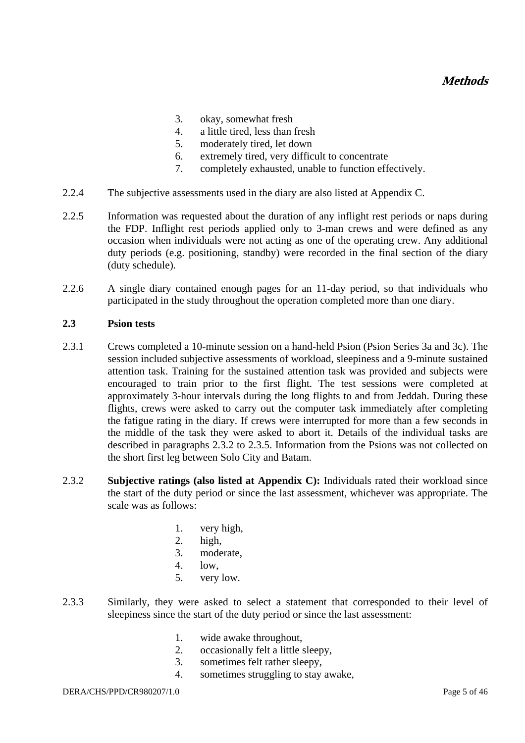- 3. okay, somewhat fresh
- 4. a little tired, less than fresh
- 5. moderately tired, let down
- 6. extremely tired, very difficult to concentrate
- 7. completely exhausted, unable to function effectively.
- 2.2.4 The subjective assessments used in the diary are also listed at Appendix C.
- 2.2.5 Information was requested about the duration of any inflight rest periods or naps during the FDP. Inflight rest periods applied only to 3-man crews and were defined as any occasion when individuals were not acting as one of the operating crew. Any additional duty periods (e.g. positioning, standby) were recorded in the final section of the diary (duty schedule).
- 2.2.6 A single diary contained enough pages for an 11-day period, so that individuals who participated in the study throughout the operation completed more than one diary.

#### **2.3 Psion tests**

- 2.3.1 Crews completed a 10-minute session on a hand-held Psion (Psion Series 3a and 3c). The session included subjective assessments of workload, sleepiness and a 9-minute sustained attention task. Training for the sustained attention task was provided and subjects were encouraged to train prior to the first flight. The test sessions were completed at approximately 3-hour intervals during the long flights to and from Jeddah. During these flights, crews were asked to carry out the computer task immediately after completing the fatigue rating in the diary. If crews were interrupted for more than a few seconds in the middle of the task they were asked to abort it. Details of the individual tasks are described in paragraphs 2.3.2 to 2.3.5. Information from the Psions was not collected on the short first leg between Solo City and Batam.
- 2.3.2 **Subjective ratings (also listed at Appendix C):** Individuals rated their workload since the start of the duty period or since the last assessment, whichever was appropriate. The scale was as follows:
	- 1. very high,
	- 2. high,
	- 3. moderate,
	- 4. low,
	- 5. very low.
- 2.3.3 Similarly, they were asked to select a statement that corresponded to their level of sleepiness since the start of the duty period or since the last assessment:
	- 1. wide awake throughout,
	- 2. occasionally felt a little sleepy,
	- 3. sometimes felt rather sleepy,
	- 4. sometimes struggling to stay awake,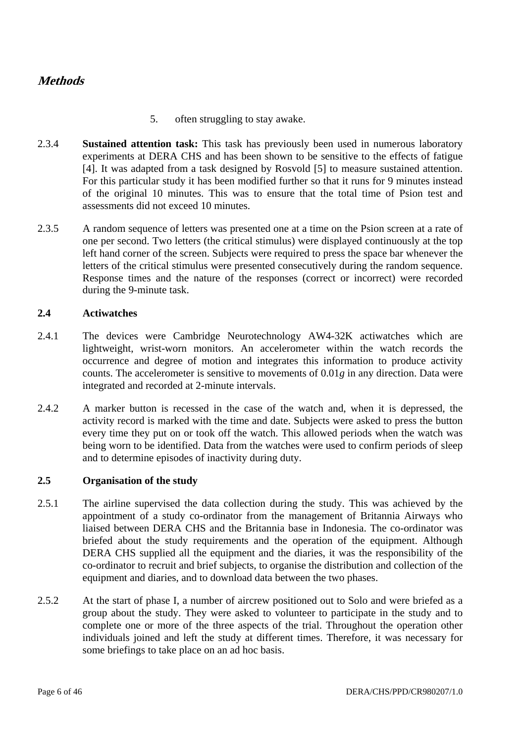### **Methods**

- 5. often struggling to stay awake.
- 2.3.4 **Sustained attention task:** This task has previously been used in numerous laboratory experiments at DERA CHS and has been shown to be sensitive to the effects of fatigue [4]. It was adapted from a task designed by Rosvold [5] to measure sustained attention. For this particular study it has been modified further so that it runs for 9 minutes instead of the original 10 minutes. This was to ensure that the total time of Psion test and assessments did not exceed 10 minutes.
- 2.3.5 A random sequence of letters was presented one at a time on the Psion screen at a rate of one per second. Two letters (the critical stimulus) were displayed continuously at the top left hand corner of the screen. Subjects were required to press the space bar whenever the letters of the critical stimulus were presented consecutively during the random sequence. Response times and the nature of the responses (correct or incorrect) were recorded during the 9-minute task.

#### **2.4 Actiwatches**

- 2.4.1 The devices were Cambridge Neurotechnology AW4-32K actiwatches which are lightweight, wrist-worn monitors. An accelerometer within the watch records the occurrence and degree of motion and integrates this information to produce activity counts. The accelerometer is sensitive to movements of 0.01*g* in any direction. Data were integrated and recorded at 2-minute intervals.
- 2.4.2 A marker button is recessed in the case of the watch and, when it is depressed, the activity record is marked with the time and date. Subjects were asked to press the button every time they put on or took off the watch. This allowed periods when the watch was being worn to be identified. Data from the watches were used to confirm periods of sleep and to determine episodes of inactivity during duty.

### **2.5 Organisation of the study**

- 2.5.1 The airline supervised the data collection during the study. This was achieved by the appointment of a study co-ordinator from the management of Britannia Airways who liaised between DERA CHS and the Britannia base in Indonesia. The co-ordinator was briefed about the study requirements and the operation of the equipment. Although DERA CHS supplied all the equipment and the diaries, it was the responsibility of the co-ordinator to recruit and brief subjects, to organise the distribution and collection of the equipment and diaries, and to download data between the two phases.
- 2.5.2 At the start of phase I, a number of aircrew positioned out to Solo and were briefed as a group about the study. They were asked to volunteer to participate in the study and to complete one or more of the three aspects of the trial. Throughout the operation other individuals joined and left the study at different times. Therefore, it was necessary for some briefings to take place on an ad hoc basis.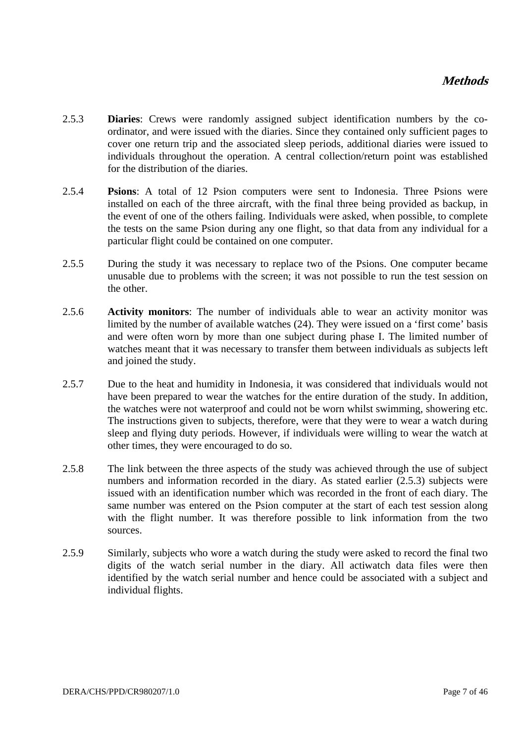- 2.5.3 **Diaries**: Crews were randomly assigned subject identification numbers by the coordinator, and were issued with the diaries. Since they contained only sufficient pages to cover one return trip and the associated sleep periods, additional diaries were issued to individuals throughout the operation. A central collection/return point was established for the distribution of the diaries.
- 2.5.4 **Psions**: A total of 12 Psion computers were sent to Indonesia. Three Psions were installed on each of the three aircraft, with the final three being provided as backup, in the event of one of the others failing. Individuals were asked, when possible, to complete the tests on the same Psion during any one flight, so that data from any individual for a particular flight could be contained on one computer.
- 2.5.5 During the study it was necessary to replace two of the Psions. One computer became unusable due to problems with the screen; it was not possible to run the test session on the other.
- 2.5.6 **Activity monitors**: The number of individuals able to wear an activity monitor was limited by the number of available watches (24). They were issued on a 'first come' basis and were often worn by more than one subject during phase I. The limited number of watches meant that it was necessary to transfer them between individuals as subjects left and joined the study.
- 2.5.7 Due to the heat and humidity in Indonesia, it was considered that individuals would not have been prepared to wear the watches for the entire duration of the study. In addition, the watches were not waterproof and could not be worn whilst swimming, showering etc. The instructions given to subjects, therefore, were that they were to wear a watch during sleep and flying duty periods. However, if individuals were willing to wear the watch at other times, they were encouraged to do so.
- 2.5.8 The link between the three aspects of the study was achieved through the use of subject numbers and information recorded in the diary. As stated earlier (2.5.3) subjects were issued with an identification number which was recorded in the front of each diary. The same number was entered on the Psion computer at the start of each test session along with the flight number. It was therefore possible to link information from the two sources.
- 2.5.9 Similarly, subjects who wore a watch during the study were asked to record the final two digits of the watch serial number in the diary. All actiwatch data files were then identified by the watch serial number and hence could be associated with a subject and individual flights.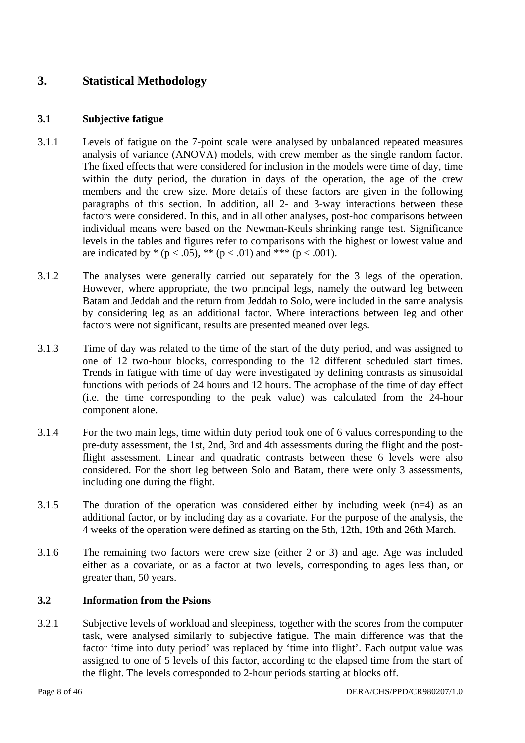### **3. Statistical Methodology**

#### **3.1 Subjective fatigue**

- 3.1.1 Levels of fatigue on the 7-point scale were analysed by unbalanced repeated measures analysis of variance (ANOVA) models, with crew member as the single random factor. The fixed effects that were considered for inclusion in the models were time of day, time within the duty period, the duration in days of the operation, the age of the crew members and the crew size. More details of these factors are given in the following paragraphs of this section. In addition, all 2- and 3-way interactions between these factors were considered. In this, and in all other analyses, post-hoc comparisons between individual means were based on the Newman-Keuls shrinking range test. Significance levels in the tables and figures refer to comparisons with the highest or lowest value and are indicated by  $*(p < .05), ** (p < .01)$  and  $*** (p < .001)$ .
- 3.1.2 The analyses were generally carried out separately for the 3 legs of the operation. However, where appropriate, the two principal legs, namely the outward leg between Batam and Jeddah and the return from Jeddah to Solo, were included in the same analysis by considering leg as an additional factor. Where interactions between leg and other factors were not significant, results are presented meaned over legs.
- 3.1.3 Time of day was related to the time of the start of the duty period, and was assigned to one of 12 two-hour blocks, corresponding to the 12 different scheduled start times. Trends in fatigue with time of day were investigated by defining contrasts as sinusoidal functions with periods of 24 hours and 12 hours. The acrophase of the time of day effect (i.e. the time corresponding to the peak value) was calculated from the 24-hour component alone.
- 3.1.4 For the two main legs, time within duty period took one of 6 values corresponding to the pre-duty assessment, the 1st, 2nd, 3rd and 4th assessments during the flight and the postflight assessment. Linear and quadratic contrasts between these 6 levels were also considered. For the short leg between Solo and Batam, there were only 3 assessments, including one during the flight.
- 3.1.5 The duration of the operation was considered either by including week (n=4) as an additional factor, or by including day as a covariate. For the purpose of the analysis, the 4 weeks of the operation were defined as starting on the 5th, 12th, 19th and 26th March.
- 3.1.6 The remaining two factors were crew size (either 2 or 3) and age. Age was included either as a covariate, or as a factor at two levels, corresponding to ages less than, or greater than, 50 years.

#### **3.2 Information from the Psions**

3.2.1 Subjective levels of workload and sleepiness, together with the scores from the computer task, were analysed similarly to subjective fatigue. The main difference was that the factor 'time into duty period' was replaced by 'time into flight'. Each output value was assigned to one of 5 levels of this factor, according to the elapsed time from the start of the flight. The levels corresponded to 2-hour periods starting at blocks off.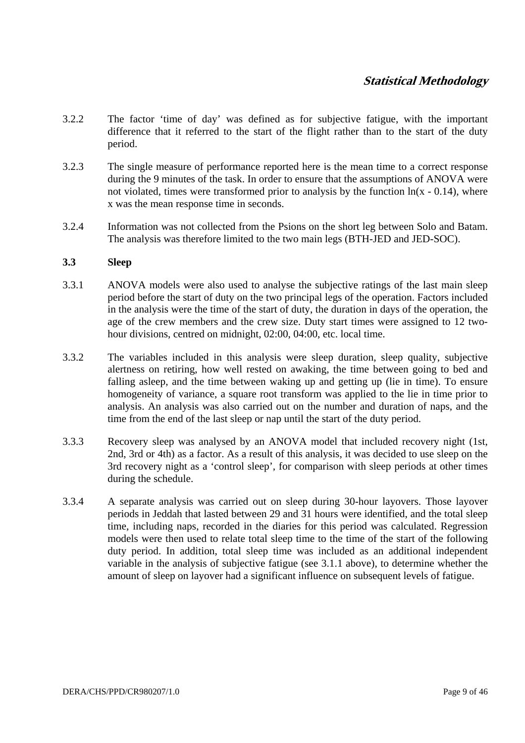### **Statistical Methodology**

- 3.2.2 The factor 'time of day' was defined as for subjective fatigue, with the important difference that it referred to the start of the flight rather than to the start of the duty period.
- 3.2.3 The single measure of performance reported here is the mean time to a correct response during the 9 minutes of the task. In order to ensure that the assumptions of ANOVA were not violated, times were transformed prior to analysis by the function  $ln(x - 0.14)$ , where x was the mean response time in seconds.
- 3.2.4 Information was not collected from the Psions on the short leg between Solo and Batam. The analysis was therefore limited to the two main legs (BTH-JED and JED-SOC).

#### **3.3 Sleep**

- 3.3.1 ANOVA models were also used to analyse the subjective ratings of the last main sleep period before the start of duty on the two principal legs of the operation. Factors included in the analysis were the time of the start of duty, the duration in days of the operation, the age of the crew members and the crew size. Duty start times were assigned to 12 twohour divisions, centred on midnight, 02:00, 04:00, etc. local time.
- 3.3.2 The variables included in this analysis were sleep duration, sleep quality, subjective alertness on retiring, how well rested on awaking, the time between going to bed and falling asleep, and the time between waking up and getting up (lie in time). To ensure homogeneity of variance, a square root transform was applied to the lie in time prior to analysis. An analysis was also carried out on the number and duration of naps, and the time from the end of the last sleep or nap until the start of the duty period.
- 3.3.3 Recovery sleep was analysed by an ANOVA model that included recovery night (1st, 2nd, 3rd or 4th) as a factor. As a result of this analysis, it was decided to use sleep on the 3rd recovery night as a 'control sleep', for comparison with sleep periods at other times during the schedule.
- 3.3.4 A separate analysis was carried out on sleep during 30-hour layovers. Those layover periods in Jeddah that lasted between 29 and 31 hours were identified, and the total sleep time, including naps, recorded in the diaries for this period was calculated. Regression models were then used to relate total sleep time to the time of the start of the following duty period. In addition, total sleep time was included as an additional independent variable in the analysis of subjective fatigue (see 3.1.1 above), to determine whether the amount of sleep on layover had a significant influence on subsequent levels of fatigue.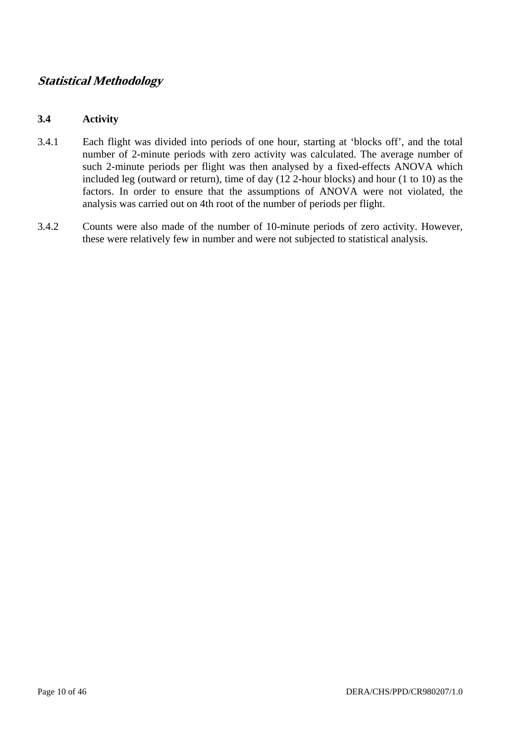### **Statistical Methodology**

#### **3.4 Activity**

- 3.4.1 Each flight was divided into periods of one hour, starting at 'blocks off', and the total number of 2-minute periods with zero activity was calculated. The average number of such 2-minute periods per flight was then analysed by a fixed-effects ANOVA which included leg (outward or return), time of day (12 2-hour blocks) and hour (1 to 10) as the factors. In order to ensure that the assumptions of ANOVA were not violated, the analysis was carried out on 4th root of the number of periods per flight.
- 3.4.2 Counts were also made of the number of 10-minute periods of zero activity. However, these were relatively few in number and were not subjected to statistical analysis.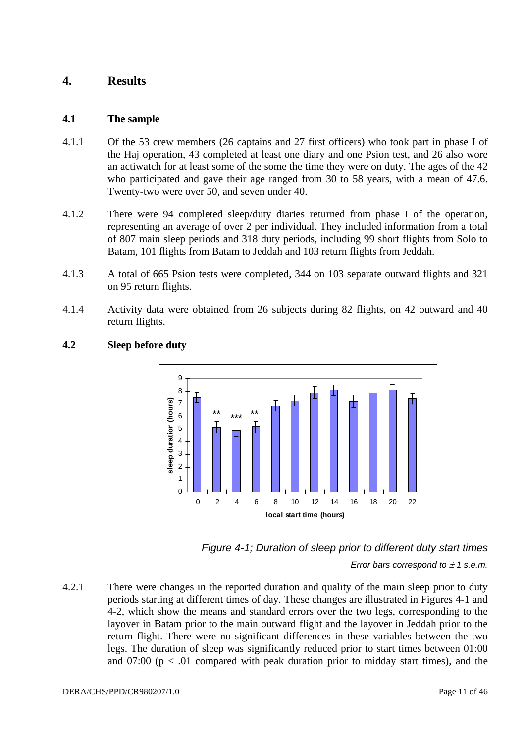### **4. Results**

#### **4.1 The sample**

- 4.1.1 Of the 53 crew members (26 captains and 27 first officers) who took part in phase I of the Haj operation, 43 completed at least one diary and one Psion test, and 26 also wore an actiwatch for at least some of the some the time they were on duty. The ages of the 42 who participated and gave their age ranged from 30 to 58 years, with a mean of 47.6. Twenty-two were over 50, and seven under 40.
- 4.1.2 There were 94 completed sleep/duty diaries returned from phase I of the operation, representing an average of over 2 per individual. They included information from a total of 807 main sleep periods and 318 duty periods, including 99 short flights from Solo to Batam, 101 flights from Batam to Jeddah and 103 return flights from Jeddah.
- 4.1.3 A total of 665 Psion tests were completed, 344 on 103 separate outward flights and 321 on 95 return flights.
- 4.1.4 Activity data were obtained from 26 subjects during 82 flights, on 42 outward and 40 return flights.



### **4.2 Sleep before duty**



*Error bars correspond to*  $\pm$  *1 s.e.m.* 

4.2.1 There were changes in the reported duration and quality of the main sleep prior to duty periods starting at different times of day. These changes are illustrated in Figures 4-1 and 4-2, which show the means and standard errors over the two legs, corresponding to the layover in Batam prior to the main outward flight and the layover in Jeddah prior to the return flight. There were no significant differences in these variables between the two legs. The duration of sleep was significantly reduced prior to start times between 01:00 and  $07:00$  ( $p < .01$  compared with peak duration prior to midday start times), and the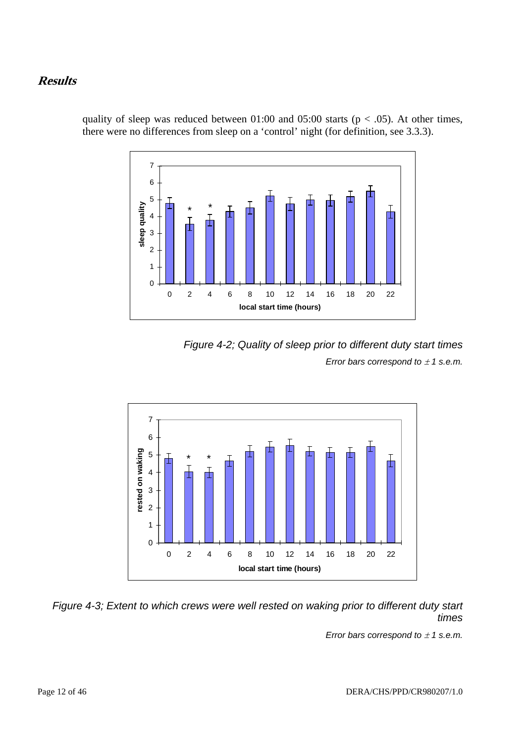7 6 5 sleep quality **sleep quality** \* \* 4 3 2 1  $\Omega$ 0 2 4 6 8 10 12 14 16 18 20 22 **local start time (hours)**

quality of sleep was reduced between  $01:00$  and  $05:00$  starts ( $p < .05$ ). At other times, there were no differences from sleep on a 'control' night (for definition, see 3.3.3).





*Figure 4-3; Extent to which crews were well rested on waking prior to different duty start times* 

*Error bars correspond to*  $\pm$  *1 s.e.m.*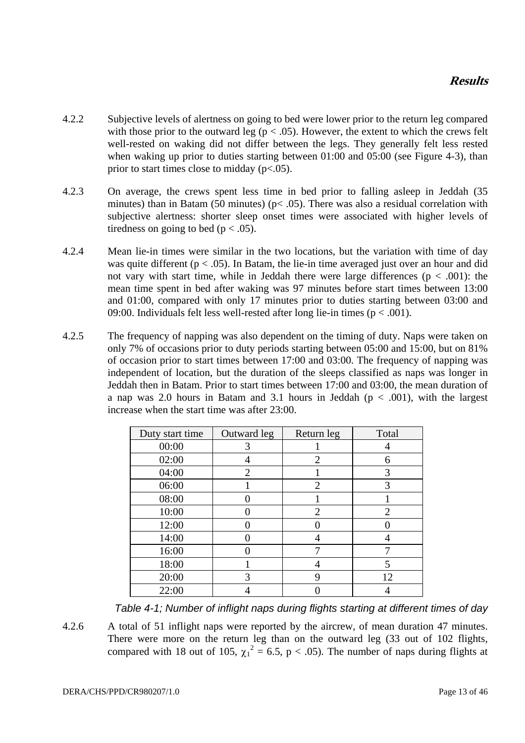- 4.2.2 Subjective levels of alertness on going to bed were lower prior to the return leg compared with those prior to the outward leg ( $p < .05$ ). However, the extent to which the crews felt well-rested on waking did not differ between the legs. They generally felt less rested when waking up prior to duties starting between 01:00 and 05:00 (see Figure 4-3), than prior to start times close to midday (p<.05).
- 4.2.3 On average, the crews spent less time in bed prior to falling asleep in Jeddah (35 minutes) than in Batam (50 minutes) ( $p < .05$ ). There was also a residual correlation with subjective alertness: shorter sleep onset times were associated with higher levels of tiredness on going to bed ( $p < .05$ ).
- 4.2.4 Mean lie-in times were similar in the two locations, but the variation with time of day was quite different ( $p < .05$ ). In Batam, the lie-in time averaged just over an hour and did not vary with start time, while in Jeddah there were large differences ( $p < .001$ ): the mean time spent in bed after waking was 97 minutes before start times between 13:00 and 01:00, compared with only 17 minutes prior to duties starting between 03:00 and 09:00. Individuals felt less well-rested after long lie-in times ( $p < .001$ ).
- 4.2.5 The frequency of napping was also dependent on the timing of duty. Naps were taken on only 7% of occasions prior to duty periods starting between 05:00 and 15:00, but on 81% of occasion prior to start times between 17:00 and 03:00. The frequency of napping was independent of location, but the duration of the sleeps classified as naps was longer in Jeddah then in Batam. Prior to start times between 17:00 and 03:00, the mean duration of a nap was 2.0 hours in Batam and 3.1 hours in Jeddah ( $p < .001$ ), with the largest increase when the start time was after 23:00.

| Duty start time | Outward leg    | Return leg     | Total |
|-----------------|----------------|----------------|-------|
| 00:00           | 3              |                |       |
| 02:00           |                | $\overline{2}$ | 6     |
| 04:00           | $\overline{2}$ |                | 3     |
| 06:00           |                | $\overline{2}$ | 3     |
| 08:00           |                |                |       |
| 10:00           | Ω              | $\overline{2}$ | 2     |
| 12:00           |                |                |       |
| 14:00           |                |                |       |
| 16:00           |                |                |       |
| 18:00           |                |                | 5     |
| 20:00           | 3              | 9              | 12    |
| 22:00           |                |                |       |

*Table 4-1; Number of inflight naps during flights starting at different times of day* 

4.2.6 A total of 51 inflight naps were reported by the aircrew, of mean duration 47 minutes. There were more on the return leg than on the outward leg (33 out of 102 flights, compared with 18 out of 105,  $\chi_1^2 = 6.5$ , p < .05). The number of naps during flights at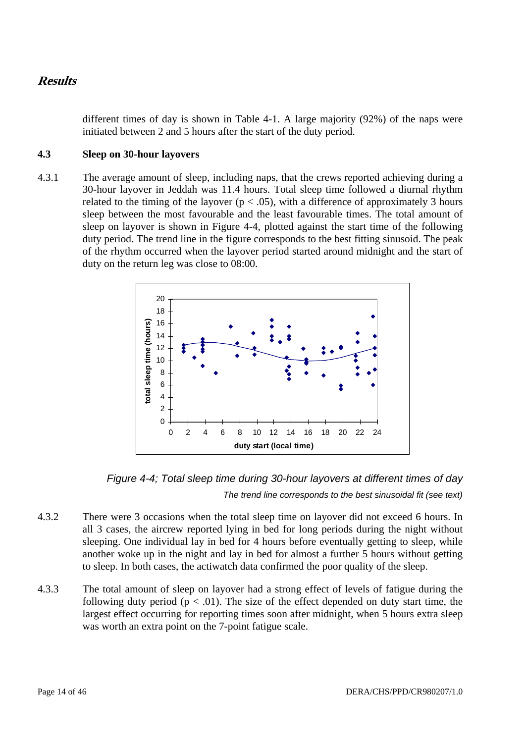different times of day is shown in Table 4-1. A large majority (92%) of the naps were initiated between 2 and 5 hours after the start of the duty period.

#### **4.3 Sleep on 30-hour layovers**

4.3.1 The average amount of sleep, including naps, that the crews reported achieving during a 30-hour layover in Jeddah was 11.4 hours. Total sleep time followed a diurnal rhythm related to the timing of the layover ( $p < .05$ ), with a difference of approximately 3 hours sleep between the most favourable and the least favourable times. The total amount of sleep on layover is shown in Figure 4-4, plotted against the start time of the following duty period. The trend line in the figure corresponds to the best fitting sinusoid. The peak of the rhythm occurred when the layover period started around midnight and the start of duty on the return leg was close to 08:00.



*Figure 4-4; Total sleep time during 30-hour layovers at different times of day The trend line corresponds to the best sinusoidal fit (see text)* 

- 4.3.2 There were 3 occasions when the total sleep time on layover did not exceed 6 hours. In all 3 cases, the aircrew reported lying in bed for long periods during the night without sleeping. One individual lay in bed for 4 hours before eventually getting to sleep, while another woke up in the night and lay in bed for almost a further 5 hours without getting to sleep. In both cases, the actiwatch data confirmed the poor quality of the sleep.
- 4.3.3 The total amount of sleep on layover had a strong effect of levels of fatigue during the following duty period ( $p < .01$ ). The size of the effect depended on duty start time, the largest effect occurring for reporting times soon after midnight, when 5 hours extra sleep was worth an extra point on the 7-point fatigue scale.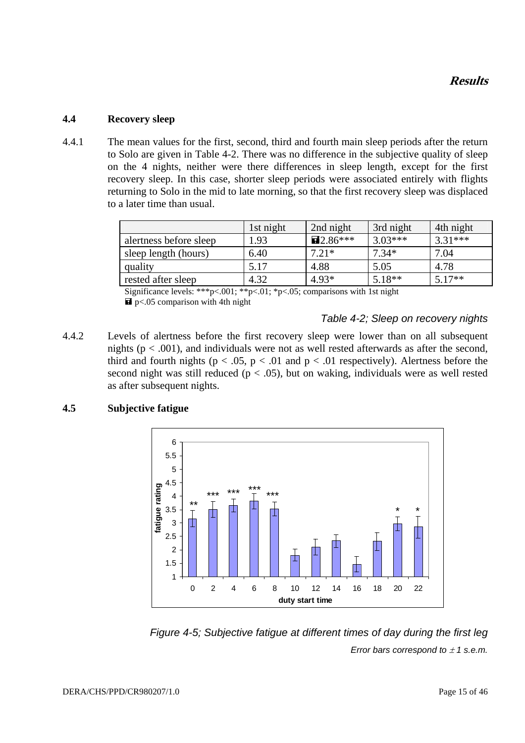#### **4.4 Recovery sleep**

4.4.1 The mean values for the first, second, third and fourth main sleep periods after the return to Solo are given in Table 4-2. There was no difference in the subjective quality of sleep on the 4 nights, neither were there differences in sleep length, except for the first recovery sleep. In this case, shorter sleep periods were associated entirely with flights returning to Solo in the mid to late morning, so that the first recovery sleep was displaced to a later time than usual.

|                        | 1st night | 2nd night           | 3rd night | 4th night |
|------------------------|-----------|---------------------|-----------|-----------|
| alertness before sleep | l.93      | $\mathbf{E}2.86***$ | $3.03***$ | $3.31***$ |
| sleep length (hours)   | 6.40      | $7.21*$             | $7.34*$   | 7.04      |
| quality                | 5.17      | 4.88                | 5.05      | 4.78      |
| rested after sleep     | 4.32      | $4.93*$             | $5.18**$  | $5.17**$  |

Significance levels: \*\*\*p<.001; \*\*p<.01; \*p<.05; comparisons with 1st night  $\blacksquare$  p<.05 comparison with 4th night

#### *Table 4-2; Sleep on recovery nights*

4.4.2 Levels of alertness before the first recovery sleep were lower than on all subsequent nights ( $p < .001$ ), and individuals were not as well rested afterwards as after the second, third and fourth nights ( $p < .05$ ,  $p < .01$  and  $p < .01$  respectively). Alertness before the second night was still reduced ( $p < .05$ ), but on waking, individuals were as well rested as after subsequent nights.

#### **4.5 Subjective fatigue**



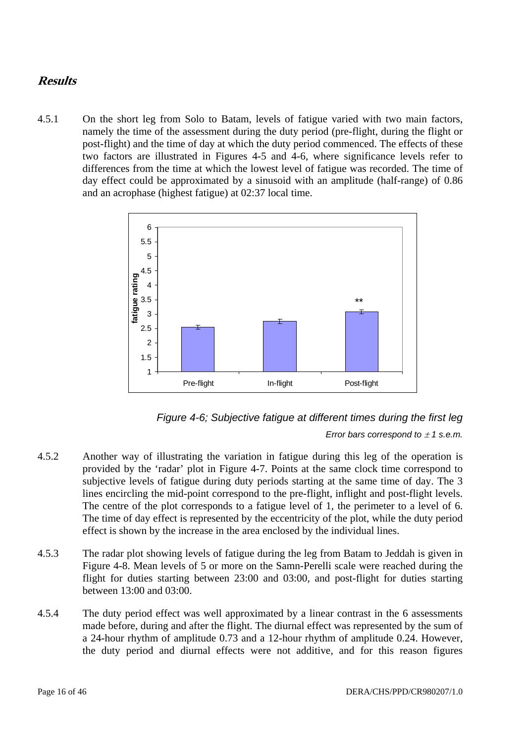4.5.1 On the short leg from Solo to Batam, levels of fatigue varied with two main factors, namely the time of the assessment during the duty period (pre-flight, during the flight or post-flight) and the time of day at which the duty period commenced. The effects of these two factors are illustrated in Figures 4-5 and 4-6, where significance levels refer to differences from the time at which the lowest level of fatigue was recorded. The time of day effect could be approximated by a sinusoid with an amplitude (half-range) of 0.86 and an acrophase (highest fatigue) at 02:37 local time.





- 4.5.2 Another way of illustrating the variation in fatigue during this leg of the operation is provided by the 'radar' plot in Figure 4-7. Points at the same clock time correspond to subjective levels of fatigue during duty periods starting at the same time of day. The 3 lines encircling the mid-point correspond to the pre-flight, inflight and post-flight levels. The centre of the plot corresponds to a fatigue level of 1, the perimeter to a level of 6. The time of day effect is represented by the eccentricity of the plot, while the duty period effect is shown by the increase in the area enclosed by the individual lines.
- 4.5.3 The radar plot showing levels of fatigue during the leg from Batam to Jeddah is given in Figure 4-8. Mean levels of 5 or more on the Samn-Perelli scale were reached during the flight for duties starting between 23:00 and 03:00, and post-flight for duties starting between 13:00 and 03:00.
- 4.5.4 The duty period effect was well approximated by a linear contrast in the 6 assessments made before, during and after the flight. The diurnal effect was represented by the sum of a 24-hour rhythm of amplitude 0.73 and a 12-hour rhythm of amplitude 0.24. However, the duty period and diurnal effects were not additive, and for this reason figures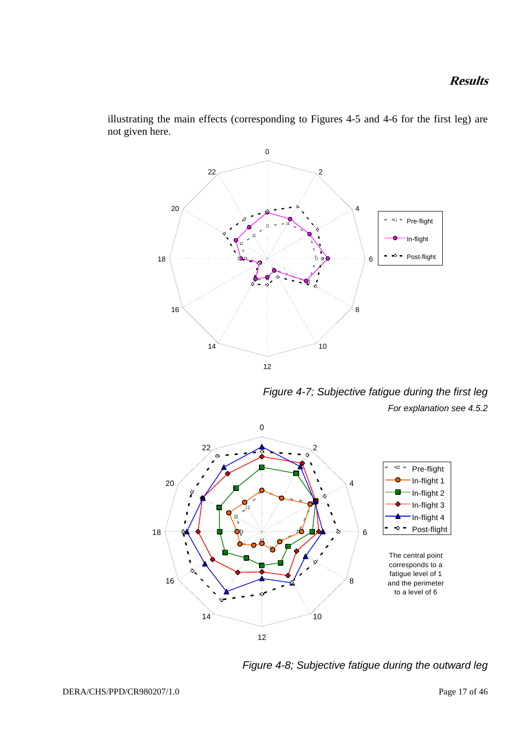

illustrating the main effects (corresponding to Figures 4-5 and 4-6 for the first leg) are not given here.

*Figure 4-7; Subjective fatigue during the first leg For explanation see 4.5.2* 



*Figure 4-8; Subjective fatigue during the outward leg*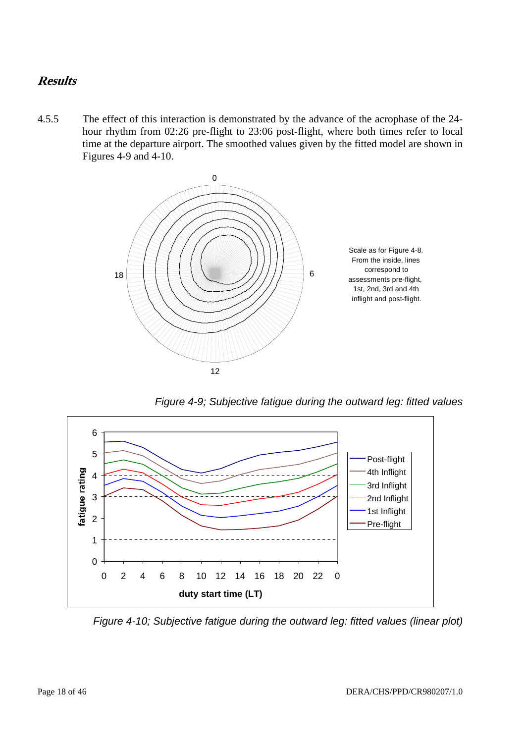4.5.5 The effect of this interaction is demonstrated by the advance of the acrophase of the 24 hour rhythm from 02:26 pre-flight to 23:06 post-flight, where both times refer to local time at the departure airport. The smoothed values given by the fitted model are shown in Figures 4-9 and 4-10.



*Figure 4-9; Subjective fatigue during the outward leg: fitted values* 



*Figure 4-10; Subjective fatigue during the outward leg: fitted values (linear plot)*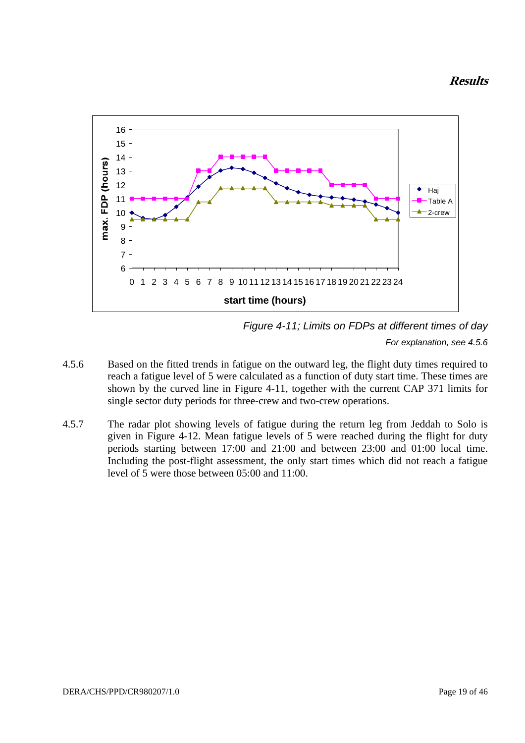

*Figure 4-11; Limits on FDPs at different times of day For explanation, see 4.5.6* 

- 4.5.6 Based on the fitted trends in fatigue on the outward leg, the flight duty times required to reach a fatigue level of 5 were calculated as a function of duty start time. These times are shown by the curved line in Figure 4-11, together with the current CAP 371 limits for single sector duty periods for three-crew and two-crew operations.
- 4.5.7 The radar plot showing levels of fatigue during the return leg from Jeddah to Solo is given in Figure 4-12. Mean fatigue levels of 5 were reached during the flight for duty periods starting between 17:00 and 21:00 and between 23:00 and 01:00 local time. Including the post-flight assessment, the only start times which did not reach a fatigue level of 5 were those between 05:00 and 11:00.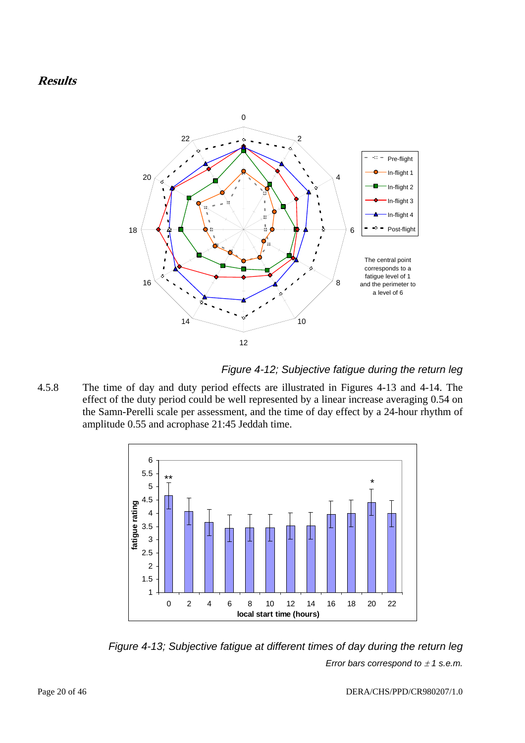

*Figure 4-12; Subjective fatigue during the return leg* 

4.5.8 The time of day and duty period effects are illustrated in Figures 4-13 and 4-14. The effect of the duty period could be well represented by a linear increase averaging 0.54 on the Samn-Perelli scale per assessment, and the time of day effect by a 24-hour rhythm of amplitude 0.55 and acrophase 21:45 Jeddah time.



*Figure 4-13; Subjective fatigue at different times of day during the return leg Error bars correspond to*  $\pm$  *1 s.e.m.*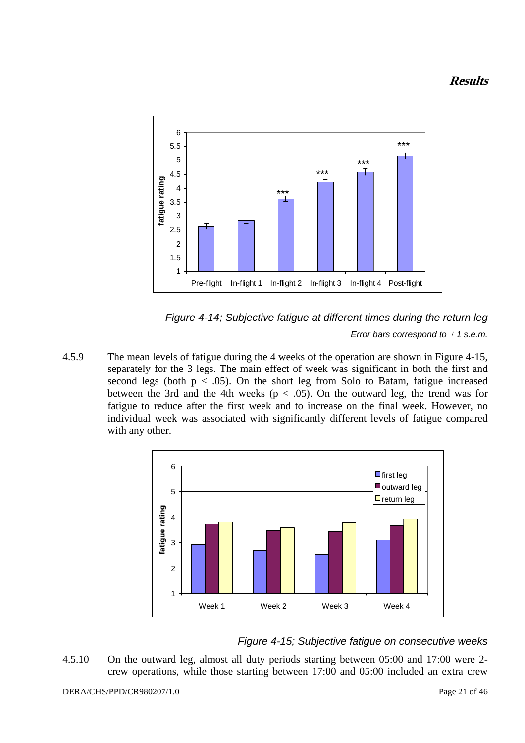



4.5.9 The mean levels of fatigue during the 4 weeks of the operation are shown in Figure 4-15, separately for the 3 legs. The main effect of week was significant in both the first and second legs (both  $p < .05$ ). On the short leg from Solo to Batam, fatigue increased between the 3rd and the 4th weeks ( $p < .05$ ). On the outward leg, the trend was for fatigue to reduce after the first week and to increase on the final week. However, no individual week was associated with significantly different levels of fatigue compared with any other.



### *Figure 4-15; Subjective fatigue on consecutive weeks*

4.5.10 On the outward leg, almost all duty periods starting between 05:00 and 17:00 were 2 crew operations, while those starting between 17:00 and 05:00 included an extra crew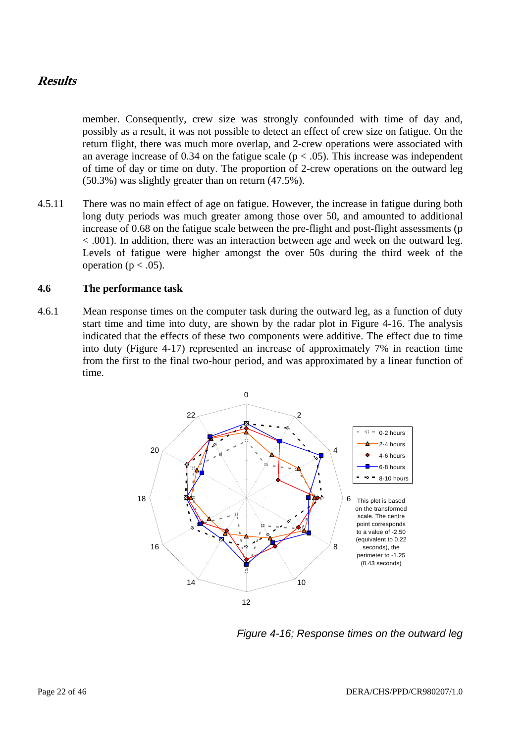member. Consequently, crew size was strongly confounded with time of day and, possibly as a result, it was not possible to detect an effect of crew size on fatigue. On the return flight, there was much more overlap, and 2-crew operations were associated with an average increase of 0.34 on the fatigue scale ( $p < .05$ ). This increase was independent of time of day or time on duty. The proportion of 2-crew operations on the outward leg (50.3%) was slightly greater than on return (47.5%).

4.5.11 There was no main effect of age on fatigue. However, the increase in fatigue during both long duty periods was much greater among those over 50, and amounted to additional increase of 0.68 on the fatigue scale between the pre-flight and post-flight assessments (p < .001). In addition, there was an interaction between age and week on the outward leg. Levels of fatigue were higher amongst the over 50s during the third week of the operation ( $p < .05$ ).

#### **4.6 The performance task**

4.6.1 Mean response times on the computer task during the outward leg, as a function of duty start time and time into duty, are shown by the radar plot in Figure 4-16. The analysis indicated that the effects of these two components were additive. The effect due to time into duty (Figure 4-17) represented an increase of approximately 7% in reaction time from the first to the final two-hour period, and was approximated by a linear function of time.



*Figure 4-16; Response times on the outward leg*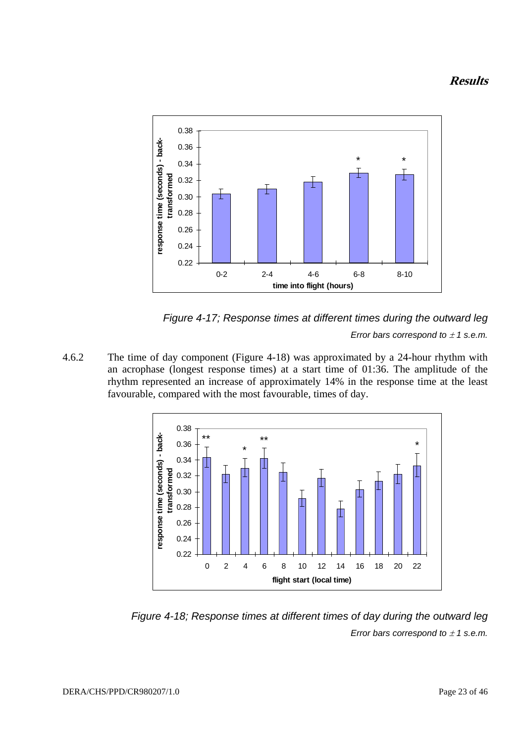



*Error bars correspond to*  $\pm$  *1 s.e.m.* 

4.6.2 The time of day component (Figure 4-18) was approximated by a 24-hour rhythm with an acrophase (longest response times) at a start time of 01:36. The amplitude of the rhythm represented an increase of approximately 14% in the response time at the least favourable, compared with the most favourable, times of day.



*Figure 4-18; Response times at different times of day during the outward leg Error bars correspond to* ± *1 s.e.m.*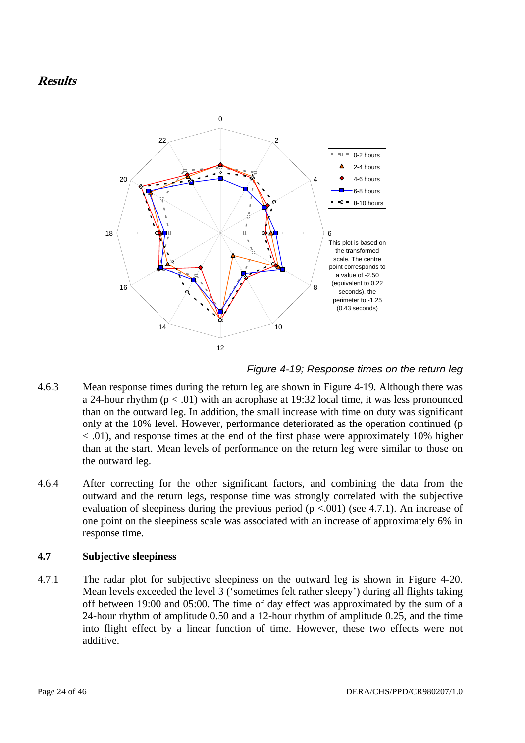

*Figure 4-19; Response times on the return leg* 

- 4.6.3 Mean response times during the return leg are shown in Figure 4-19. Although there was a 24-hour rhythm  $(p < .01)$  with an acrophase at 19:32 local time, it was less pronounced than on the outward leg. In addition, the small increase with time on duty was significant only at the 10% level. However, performance deteriorated as the operation continued (p < .01), and response times at the end of the first phase were approximately 10% higher than at the start. Mean levels of performance on the return leg were similar to those on the outward leg.
- 4.6.4 After correcting for the other significant factors, and combining the data from the outward and the return legs, response time was strongly correlated with the subjective evaluation of sleepiness during the previous period  $(p < .001)$  (see 4.7.1). An increase of one point on the sleepiness scale was associated with an increase of approximately 6% in response time.

#### **4.7 Subjective sleepiness**

4.7.1 The radar plot for subjective sleepiness on the outward leg is shown in Figure 4-20. Mean levels exceeded the level 3 ('sometimes felt rather sleepy') during all flights taking off between 19:00 and 05:00. The time of day effect was approximated by the sum of a 24-hour rhythm of amplitude 0.50 and a 12-hour rhythm of amplitude 0.25, and the time into flight effect by a linear function of time. However, these two effects were not additive.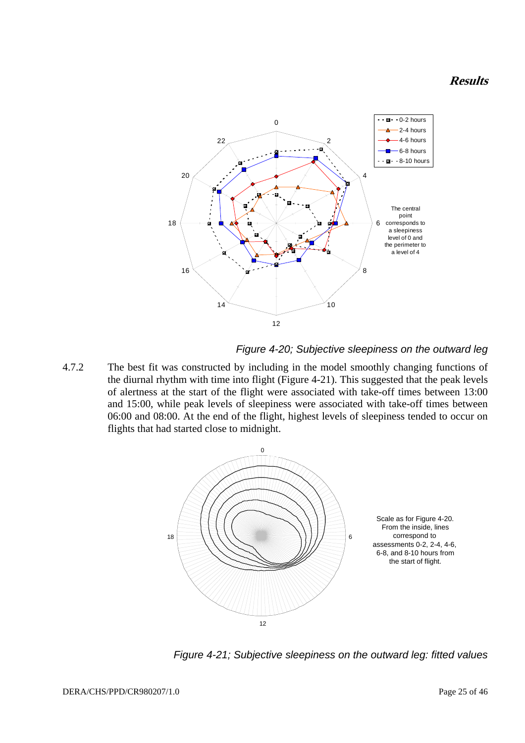

#### *Figure 4-20; Subjective sleepiness on the outward leg*

4.7.2 The best fit was constructed by including in the model smoothly changing functions of the diurnal rhythm with time into flight (Figure 4-21). This suggested that the peak levels of alertness at the start of the flight were associated with take-off times between 13:00 and 15:00, while peak levels of sleepiness were associated with take-off times between 06:00 and 08:00. At the end of the flight, highest levels of sleepiness tended to occur on flights that had started close to midnight.



*Figure 4-21; Subjective sleepiness on the outward leg: fitted values*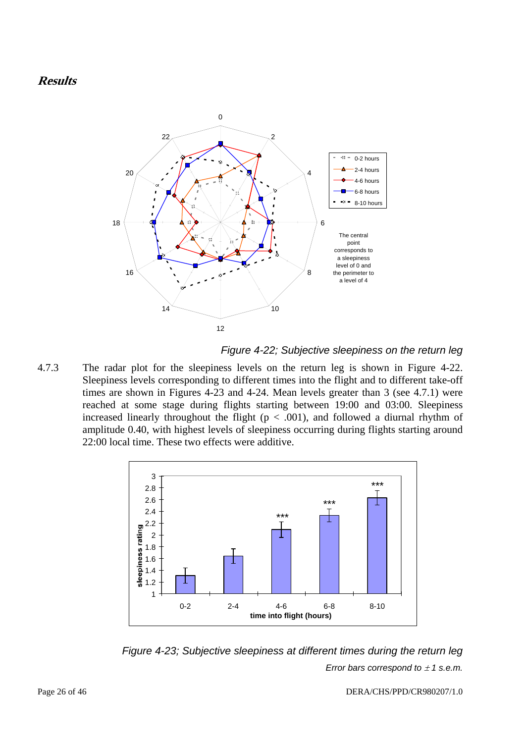

*Figure 4-22; Subjective sleepiness on the return leg* 

4.7.3 The radar plot for the sleepiness levels on the return leg is shown in Figure 4-22. Sleepiness levels corresponding to different times into the flight and to different take-off times are shown in Figures 4-23 and 4-24. Mean levels greater than 3 (see 4.7.1) were reached at some stage during flights starting between 19:00 and 03:00. Sleepiness increased linearly throughout the flight  $(p < .001)$ , and followed a diurnal rhythm of amplitude 0.40, with highest levels of sleepiness occurring during flights starting around 22:00 local time. These two effects were additive.



*Figure 4-23; Subjective sleepiness at different times during the return leg Error bars correspond to* ± *1 s.e.m.*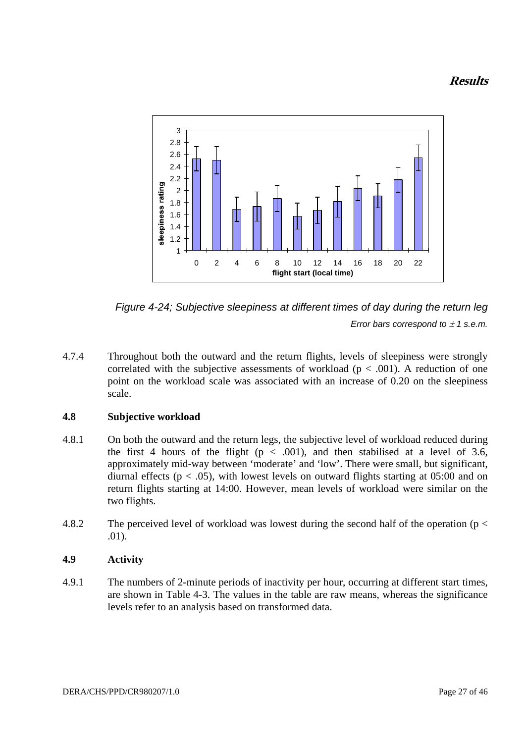



4.7.4 Throughout both the outward and the return flights, levels of sleepiness were strongly correlated with the subjective assessments of workload ( $p < .001$ ). A reduction of one point on the workload scale was associated with an increase of 0.20 on the sleepiness scale.

#### **4.8 Subjective workload**

- 4.8.1 On both the outward and the return legs, the subjective level of workload reduced during the first 4 hours of the flight ( $p < .001$ ), and then stabilised at a level of 3.6, approximately mid-way between 'moderate' and 'low'. There were small, but significant, diurnal effects ( $p < .05$ ), with lowest levels on outward flights starting at 05:00 and on return flights starting at 14:00. However, mean levels of workload were similar on the two flights.
- 4.8.2 The perceived level of workload was lowest during the second half of the operation (p < .01).

#### **4.9 Activity**

4.9.1 The numbers of 2-minute periods of inactivity per hour, occurring at different start times, are shown in Table 4-3. The values in the table are raw means, whereas the significance levels refer to an analysis based on transformed data.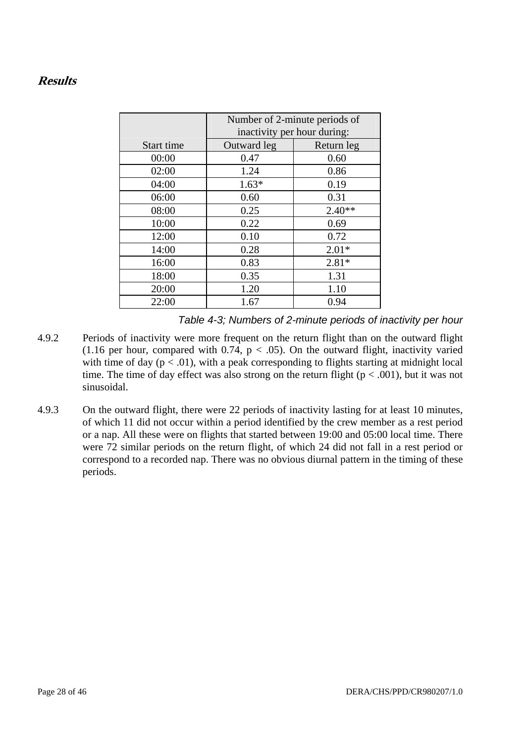|            | Number of 2-minute periods of<br>inactivity per hour during: |            |  |
|------------|--------------------------------------------------------------|------------|--|
| Start time | Outward leg                                                  | Return leg |  |
| 00:00      | 0.47                                                         | 0.60       |  |
| 02:00      | 1.24                                                         | 0.86       |  |
| 04:00      | $1.63*$                                                      | 0.19       |  |
| 06:00      | 0.60                                                         | 0.31       |  |
| 08:00      | 0.25                                                         | $2.40**$   |  |
| 10:00      | 0.22                                                         | 0.69       |  |
| 12:00      | 0.10                                                         | 0.72       |  |
| 14:00      | 0.28                                                         | $2.01*$    |  |
| 16:00      | 0.83                                                         | $2.81*$    |  |
| 18:00      | 0.35                                                         | 1.31       |  |
| 20:00      | 1.20                                                         | 1.10       |  |
| 22:00      | 1.67                                                         | 0.94       |  |

*Table 4-3; Numbers of 2-minute periods of inactivity per hour* 

- 4.9.2 Periods of inactivity were more frequent on the return flight than on the outward flight (1.16 per hour, compared with 0.74,  $p < .05$ ). On the outward flight, inactivity varied with time of day  $(p < .01)$ , with a peak corresponding to flights starting at midnight local time. The time of day effect was also strong on the return flight ( $p < .001$ ), but it was not sinusoidal.
- 4.9.3 On the outward flight, there were 22 periods of inactivity lasting for at least 10 minutes, of which 11 did not occur within a period identified by the crew member as a rest period or a nap. All these were on flights that started between 19:00 and 05:00 local time. There were 72 similar periods on the return flight, of which 24 did not fall in a rest period or correspond to a recorded nap. There was no obvious diurnal pattern in the timing of these periods.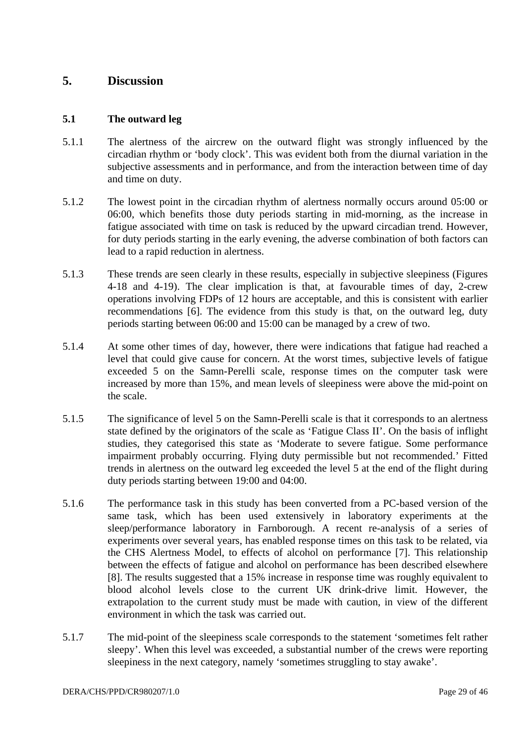### **5. Discussion**

#### **5.1 The outward leg**

- 5.1.1 The alertness of the aircrew on the outward flight was strongly influenced by the circadian rhythm or 'body clock'. This was evident both from the diurnal variation in the subjective assessments and in performance, and from the interaction between time of day and time on duty.
- 5.1.2 The lowest point in the circadian rhythm of alertness normally occurs around 05:00 or 06:00, which benefits those duty periods starting in mid-morning, as the increase in fatigue associated with time on task is reduced by the upward circadian trend. However, for duty periods starting in the early evening, the adverse combination of both factors can lead to a rapid reduction in alertness.
- 5.1.3 These trends are seen clearly in these results, especially in subjective sleepiness (Figures 4-18 and 4-19). The clear implication is that, at favourable times of day, 2-crew operations involving FDPs of 12 hours are acceptable, and this is consistent with earlier recommendations [6]. The evidence from this study is that, on the outward leg, duty periods starting between 06:00 and 15:00 can be managed by a crew of two.
- 5.1.4 At some other times of day, however, there were indications that fatigue had reached a level that could give cause for concern. At the worst times, subjective levels of fatigue exceeded 5 on the Samn-Perelli scale, response times on the computer task were increased by more than 15%, and mean levels of sleepiness were above the mid-point on the scale.
- 5.1.5 The significance of level 5 on the Samn-Perelli scale is that it corresponds to an alertness state defined by the originators of the scale as 'Fatigue Class II'. On the basis of inflight studies, they categorised this state as 'Moderate to severe fatigue. Some performance impairment probably occurring. Flying duty permissible but not recommended.' Fitted trends in alertness on the outward leg exceeded the level 5 at the end of the flight during duty periods starting between 19:00 and 04:00.
- 5.1.6 The performance task in this study has been converted from a PC-based version of the same task, which has been used extensively in laboratory experiments at the sleep/performance laboratory in Farnborough. A recent re-analysis of a series of experiments over several years, has enabled response times on this task to be related, via the CHS Alertness Model, to effects of alcohol on performance [7]. This relationship between the effects of fatigue and alcohol on performance has been described elsewhere [8]. The results suggested that a 15% increase in response time was roughly equivalent to blood alcohol levels close to the current UK drink-drive limit. However, the extrapolation to the current study must be made with caution, in view of the different environment in which the task was carried out.
- 5.1.7 The mid-point of the sleepiness scale corresponds to the statement 'sometimes felt rather sleepy'. When this level was exceeded, a substantial number of the crews were reporting sleepiness in the next category, namely 'sometimes struggling to stay awake'.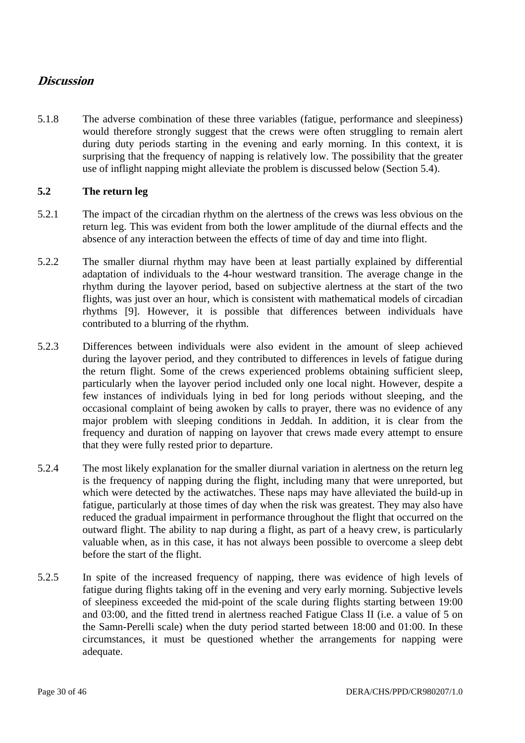### **Discussion**

5.1.8 The adverse combination of these three variables (fatigue, performance and sleepiness) would therefore strongly suggest that the crews were often struggling to remain alert during duty periods starting in the evening and early morning. In this context, it is surprising that the frequency of napping is relatively low. The possibility that the greater use of inflight napping might alleviate the problem is discussed below (Section 5.4).

### **5.2 The return leg**

- 5.2.1 The impact of the circadian rhythm on the alertness of the crews was less obvious on the return leg. This was evident from both the lower amplitude of the diurnal effects and the absence of any interaction between the effects of time of day and time into flight.
- 5.2.2 The smaller diurnal rhythm may have been at least partially explained by differential adaptation of individuals to the 4-hour westward transition. The average change in the rhythm during the layover period, based on subjective alertness at the start of the two flights, was just over an hour, which is consistent with mathematical models of circadian rhythms [9]. However, it is possible that differences between individuals have contributed to a blurring of the rhythm.
- 5.2.3 Differences between individuals were also evident in the amount of sleep achieved during the layover period, and they contributed to differences in levels of fatigue during the return flight. Some of the crews experienced problems obtaining sufficient sleep, particularly when the layover period included only one local night. However, despite a few instances of individuals lying in bed for long periods without sleeping, and the occasional complaint of being awoken by calls to prayer, there was no evidence of any major problem with sleeping conditions in Jeddah. In addition, it is clear from the frequency and duration of napping on layover that crews made every attempt to ensure that they were fully rested prior to departure.
- 5.2.4 The most likely explanation for the smaller diurnal variation in alertness on the return leg is the frequency of napping during the flight, including many that were unreported, but which were detected by the actiwatches. These naps may have alleviated the build-up in fatigue, particularly at those times of day when the risk was greatest. They may also have reduced the gradual impairment in performance throughout the flight that occurred on the outward flight. The ability to nap during a flight, as part of a heavy crew, is particularly valuable when, as in this case, it has not always been possible to overcome a sleep debt before the start of the flight.
- 5.2.5 In spite of the increased frequency of napping, there was evidence of high levels of fatigue during flights taking off in the evening and very early morning. Subjective levels of sleepiness exceeded the mid-point of the scale during flights starting between 19:00 and 03:00, and the fitted trend in alertness reached Fatigue Class II (i.e. a value of 5 on the Samn-Perelli scale) when the duty period started between 18:00 and 01:00. In these circumstances, it must be questioned whether the arrangements for napping were adequate.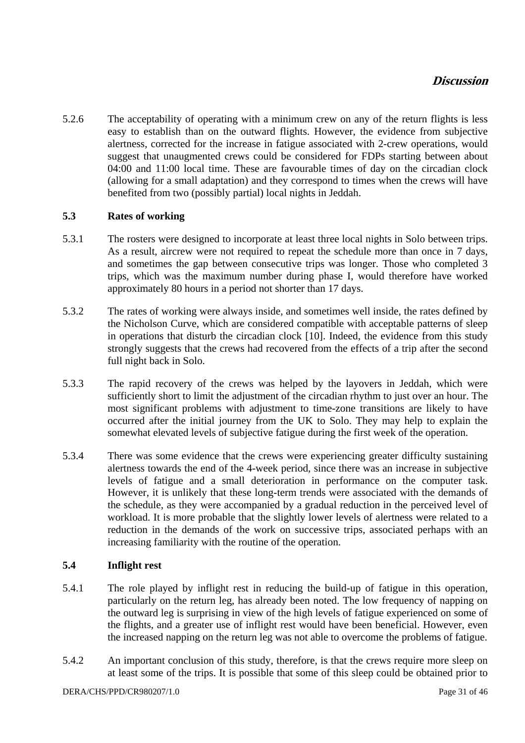### **Discussion**

5.2.6 The acceptability of operating with a minimum crew on any of the return flights is less easy to establish than on the outward flights. However, the evidence from subjective alertness, corrected for the increase in fatigue associated with 2-crew operations, would suggest that unaugmented crews could be considered for FDPs starting between about 04:00 and 11:00 local time. These are favourable times of day on the circadian clock (allowing for a small adaptation) and they correspond to times when the crews will have benefited from two (possibly partial) local nights in Jeddah.

#### **5.3 Rates of working**

- 5.3.1 The rosters were designed to incorporate at least three local nights in Solo between trips. As a result, aircrew were not required to repeat the schedule more than once in 7 days, and sometimes the gap between consecutive trips was longer. Those who completed 3 trips, which was the maximum number during phase I, would therefore have worked approximately 80 hours in a period not shorter than 17 days.
- 5.3.2 The rates of working were always inside, and sometimes well inside, the rates defined by the Nicholson Curve, which are considered compatible with acceptable patterns of sleep in operations that disturb the circadian clock [10]. Indeed, the evidence from this study strongly suggests that the crews had recovered from the effects of a trip after the second full night back in Solo.
- 5.3.3 The rapid recovery of the crews was helped by the layovers in Jeddah, which were sufficiently short to limit the adjustment of the circadian rhythm to just over an hour. The most significant problems with adjustment to time-zone transitions are likely to have occurred after the initial journey from the UK to Solo. They may help to explain the somewhat elevated levels of subjective fatigue during the first week of the operation.
- 5.3.4 There was some evidence that the crews were experiencing greater difficulty sustaining alertness towards the end of the 4-week period, since there was an increase in subjective levels of fatigue and a small deterioration in performance on the computer task. However, it is unlikely that these long-term trends were associated with the demands of the schedule, as they were accompanied by a gradual reduction in the perceived level of workload. It is more probable that the slightly lower levels of alertness were related to a reduction in the demands of the work on successive trips, associated perhaps with an increasing familiarity with the routine of the operation.

#### **5.4 Inflight rest**

- 5.4.1 The role played by inflight rest in reducing the build-up of fatigue in this operation, particularly on the return leg, has already been noted. The low frequency of napping on the outward leg is surprising in view of the high levels of fatigue experienced on some of the flights, and a greater use of inflight rest would have been beneficial. However, even the increased napping on the return leg was not able to overcome the problems of fatigue.
- 5.4.2 An important conclusion of this study, therefore, is that the crews require more sleep on at least some of the trips. It is possible that some of this sleep could be obtained prior to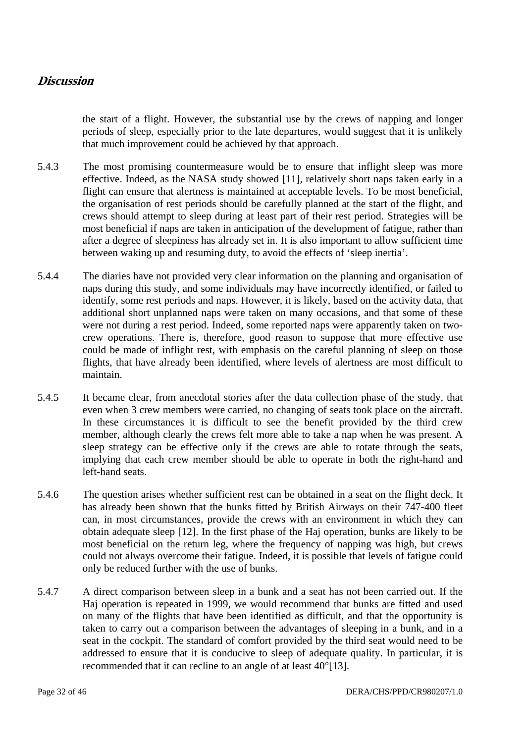### **Discussion**

the start of a flight. However, the substantial use by the crews of napping and longer periods of sleep, especially prior to the late departures, would suggest that it is unlikely that much improvement could be achieved by that approach.

- 5.4.3 The most promising countermeasure would be to ensure that inflight sleep was more effective. Indeed, as the NASA study showed [11], relatively short naps taken early in a flight can ensure that alertness is maintained at acceptable levels. To be most beneficial, the organisation of rest periods should be carefully planned at the start of the flight, and crews should attempt to sleep during at least part of their rest period. Strategies will be most beneficial if naps are taken in anticipation of the development of fatigue, rather than after a degree of sleepiness has already set in. It is also important to allow sufficient time between waking up and resuming duty, to avoid the effects of 'sleep inertia'.
- 5.4.4 The diaries have not provided very clear information on the planning and organisation of naps during this study, and some individuals may have incorrectly identified, or failed to identify, some rest periods and naps. However, it is likely, based on the activity data, that additional short unplanned naps were taken on many occasions, and that some of these were not during a rest period. Indeed, some reported naps were apparently taken on twocrew operations. There is, therefore, good reason to suppose that more effective use could be made of inflight rest, with emphasis on the careful planning of sleep on those flights, that have already been identified, where levels of alertness are most difficult to maintain.
- 5.4.5 It became clear, from anecdotal stories after the data collection phase of the study, that even when 3 crew members were carried, no changing of seats took place on the aircraft. In these circumstances it is difficult to see the benefit provided by the third crew member, although clearly the crews felt more able to take a nap when he was present. A sleep strategy can be effective only if the crews are able to rotate through the seats, implying that each crew member should be able to operate in both the right-hand and left-hand seats.
- 5.4.6 The question arises whether sufficient rest can be obtained in a seat on the flight deck. It has already been shown that the bunks fitted by British Airways on their 747-400 fleet can, in most circumstances, provide the crews with an environment in which they can obtain adequate sleep [12]. In the first phase of the Haj operation, bunks are likely to be most beneficial on the return leg, where the frequency of napping was high, but crews could not always overcome their fatigue. Indeed, it is possible that levels of fatigue could only be reduced further with the use of bunks.
- 5.4.7 A direct comparison between sleep in a bunk and a seat has not been carried out. If the Haj operation is repeated in 1999, we would recommend that bunks are fitted and used on many of the flights that have been identified as difficult, and that the opportunity is taken to carry out a comparison between the advantages of sleeping in a bunk, and in a seat in the cockpit. The standard of comfort provided by the third seat would need to be addressed to ensure that it is conducive to sleep of adequate quality. In particular, it is recommended that it can recline to an angle of at least 40°[13].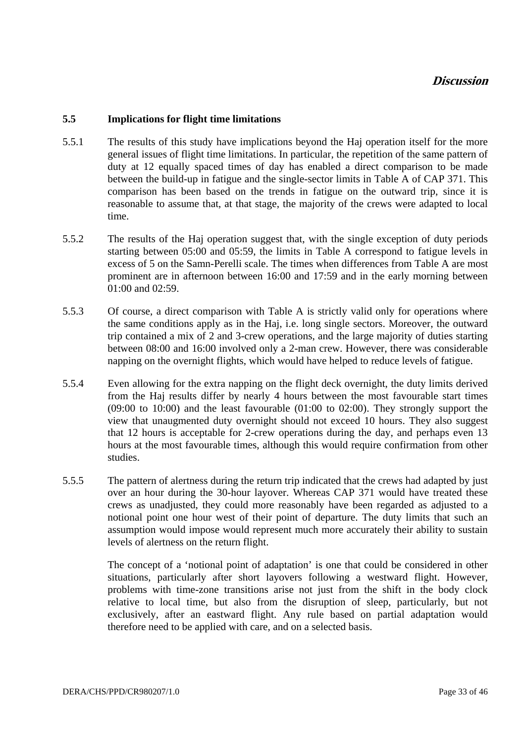#### **5.5 Implications for flight time limitations**

- 5.5.1 The results of this study have implications beyond the Haj operation itself for the more general issues of flight time limitations. In particular, the repetition of the same pattern of duty at 12 equally spaced times of day has enabled a direct comparison to be made between the build-up in fatigue and the single-sector limits in Table A of CAP 371. This comparison has been based on the trends in fatigue on the outward trip, since it is reasonable to assume that, at that stage, the majority of the crews were adapted to local time.
- 5.5.2 The results of the Haj operation suggest that, with the single exception of duty periods starting between 05:00 and 05:59, the limits in Table A correspond to fatigue levels in excess of 5 on the Samn-Perelli scale. The times when differences from Table A are most prominent are in afternoon between 16:00 and 17:59 and in the early morning between 01:00 and 02:59.
- 5.5.3 Of course, a direct comparison with Table A is strictly valid only for operations where the same conditions apply as in the Haj, i.e. long single sectors. Moreover, the outward trip contained a mix of 2 and 3-crew operations, and the large majority of duties starting between 08:00 and 16:00 involved only a 2-man crew. However, there was considerable napping on the overnight flights, which would have helped to reduce levels of fatigue.
- 5.5.4 Even allowing for the extra napping on the flight deck overnight, the duty limits derived from the Haj results differ by nearly 4 hours between the most favourable start times (09:00 to 10:00) and the least favourable (01:00 to 02:00). They strongly support the view that unaugmented duty overnight should not exceed 10 hours. They also suggest that 12 hours is acceptable for 2-crew operations during the day, and perhaps even 13 hours at the most favourable times, although this would require confirmation from other studies.
- 5.5.5 The pattern of alertness during the return trip indicated that the crews had adapted by just over an hour during the 30-hour layover. Whereas CAP 371 would have treated these crews as unadjusted, they could more reasonably have been regarded as adjusted to a notional point one hour west of their point of departure. The duty limits that such an assumption would impose would represent much more accurately their ability to sustain levels of alertness on the return flight.

The concept of a 'notional point of adaptation' is one that could be considered in other situations, particularly after short layovers following a westward flight. However, problems with time-zone transitions arise not just from the shift in the body clock relative to local time, but also from the disruption of sleep, particularly, but not exclusively, after an eastward flight. Any rule based on partial adaptation would therefore need to be applied with care, and on a selected basis.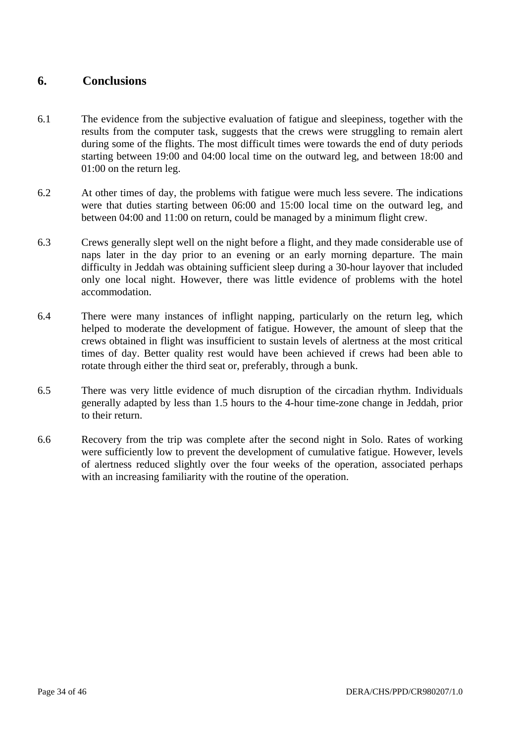### **6. Conclusions**

- 6.1 The evidence from the subjective evaluation of fatigue and sleepiness, together with the results from the computer task, suggests that the crews were struggling to remain alert during some of the flights. The most difficult times were towards the end of duty periods starting between 19:00 and 04:00 local time on the outward leg, and between 18:00 and 01:00 on the return leg.
- 6.2 At other times of day, the problems with fatigue were much less severe. The indications were that duties starting between 06:00 and 15:00 local time on the outward leg, and between 04:00 and 11:00 on return, could be managed by a minimum flight crew.
- 6.3 Crews generally slept well on the night before a flight, and they made considerable use of naps later in the day prior to an evening or an early morning departure. The main difficulty in Jeddah was obtaining sufficient sleep during a 30-hour layover that included only one local night. However, there was little evidence of problems with the hotel accommodation.
- 6.4 There were many instances of inflight napping, particularly on the return leg, which helped to moderate the development of fatigue. However, the amount of sleep that the crews obtained in flight was insufficient to sustain levels of alertness at the most critical times of day. Better quality rest would have been achieved if crews had been able to rotate through either the third seat or, preferably, through a bunk.
- 6.5 There was very little evidence of much disruption of the circadian rhythm. Individuals generally adapted by less than 1.5 hours to the 4-hour time-zone change in Jeddah, prior to their return.
- 6.6 Recovery from the trip was complete after the second night in Solo. Rates of working were sufficiently low to prevent the development of cumulative fatigue. However, levels of alertness reduced slightly over the four weeks of the operation, associated perhaps with an increasing familiarity with the routine of the operation.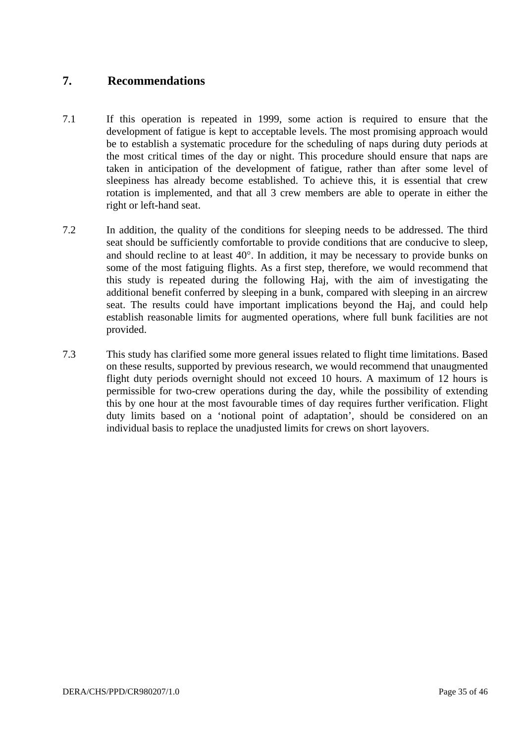### **7. Recommendations**

- 7.1 If this operation is repeated in 1999, some action is required to ensure that the development of fatigue is kept to acceptable levels. The most promising approach would be to establish a systematic procedure for the scheduling of naps during duty periods at the most critical times of the day or night. This procedure should ensure that naps are taken in anticipation of the development of fatigue, rather than after some level of sleepiness has already become established. To achieve this, it is essential that crew rotation is implemented, and that all 3 crew members are able to operate in either the right or left-hand seat.
- 7.2 In addition, the quality of the conditions for sleeping needs to be addressed. The third seat should be sufficiently comfortable to provide conditions that are conducive to sleep, and should recline to at least 40°. In addition, it may be necessary to provide bunks on some of the most fatiguing flights. As a first step, therefore, we would recommend that this study is repeated during the following Haj, with the aim of investigating the additional benefit conferred by sleeping in a bunk, compared with sleeping in an aircrew seat. The results could have important implications beyond the Haj, and could help establish reasonable limits for augmented operations, where full bunk facilities are not provided.
- 7.3 This study has clarified some more general issues related to flight time limitations. Based on these results, supported by previous research, we would recommend that unaugmented flight duty periods overnight should not exceed 10 hours. A maximum of 12 hours is permissible for two-crew operations during the day, while the possibility of extending this by one hour at the most favourable times of day requires further verification. Flight duty limits based on a 'notional point of adaptation', should be considered on an individual basis to replace the unadjusted limits for crews on short layovers.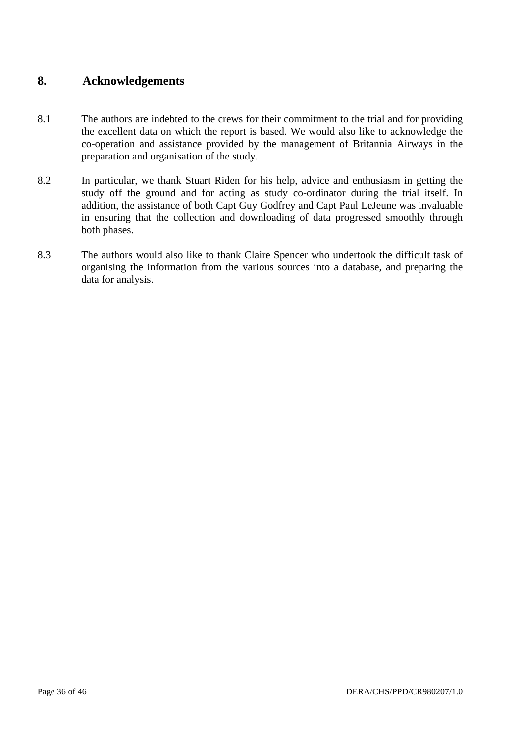### **8. Acknowledgements**

- 8.1 The authors are indebted to the crews for their commitment to the trial and for providing the excellent data on which the report is based. We would also like to acknowledge the co-operation and assistance provided by the management of Britannia Airways in the preparation and organisation of the study.
- 8.2 In particular, we thank Stuart Riden for his help, advice and enthusiasm in getting the study off the ground and for acting as study co-ordinator during the trial itself. In addition, the assistance of both Capt Guy Godfrey and Capt Paul LeJeune was invaluable in ensuring that the collection and downloading of data progressed smoothly through both phases.
- 8.3 The authors would also like to thank Claire Spencer who undertook the difficult task of organising the information from the various sources into a database, and preparing the data for analysis.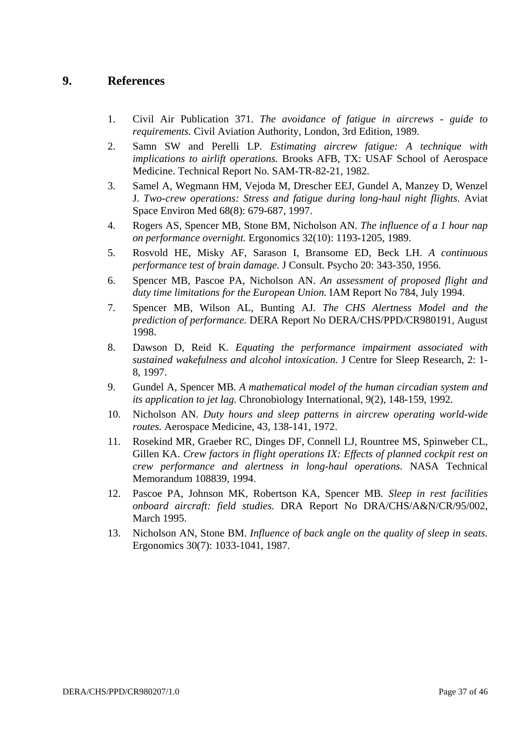### **9. References**

- 1. Civil Air Publication 371. *The avoidance of fatigue in aircrews guide to requirements.* Civil Aviation Authority, London, 3rd Edition, 1989.
- 2. Samn SW and Perelli LP. *Estimating aircrew fatigue: A technique with implications to airlift operations.* Brooks AFB, TX: USAF School of Aerospace Medicine. Technical Report No. SAM-TR-82-21, 1982.
- 3. Samel A, Wegmann HM, Vejoda M, Drescher EEJ, Gundel A, Manzey D, Wenzel J. *Two-crew operations: Stress and fatigue during long-haul night flights.* Aviat Space Environ Med 68(8): 679-687, 1997.
- 4. Rogers AS, Spencer MB, Stone BM, Nicholson AN. *The influence of a 1 hour nap on performance overnight.* Ergonomics 32(10): 1193-1205, 1989.
- 5. Rosvold HE, Misky AF, Sarason I, Bransome ED, Beck LH. *A continuous performance test of brain damage.* J Consult. Psycho 20: 343-350, 1956.
- 6. Spencer MB, Pascoe PA, Nicholson AN. *An assessment of proposed flight and duty time limitations for the European Union.* IAM Report No 784, July 1994.
- 7. Spencer MB, Wilson AL, Bunting AJ*. The CHS Alertness Model and the prediction of performance.* DERA Report No DERA/CHS/PPD/CR980191, August 1998.
- 8. Dawson D, Reid K. *Equating the performance impairment associated with sustained wakefulness and alcohol intoxication.* J Centre for Sleep Research, 2: 1- 8, 1997.
- 9. Gundel A, Spencer MB*. A mathematical model of the human circadian system and its application to jet lag.* Chronobiology International, 9(2), 148-159, 1992.
- 10. Nicholson AN*. Duty hours and sleep patterns in aircrew operating world-wide routes.* Aerospace Medicine, 43, 138-141, 1972.
- 11. Rosekind MR, Graeber RC, Dinges DF, Connell LJ, Rountree MS, Spinweber CL, Gillen KA. *Crew factors in flight operations IX: Effects of planned cockpit rest on crew performance and alertness in long-haul operations.* NASA Technical Memorandum 108839, 1994.
- 12. Pascoe PA, Johnson MK, Robertson KA, Spencer MB*. Sleep in rest facilities onboard aircraft: field studies.* DRA Report No DRA/CHS/A&N/CR/95/002, March 1995.
- 13. Nicholson AN, Stone BM. *Influence of back angle on the quality of sleep in seats.*  Ergonomics 30(7): 1033-1041, 1987.